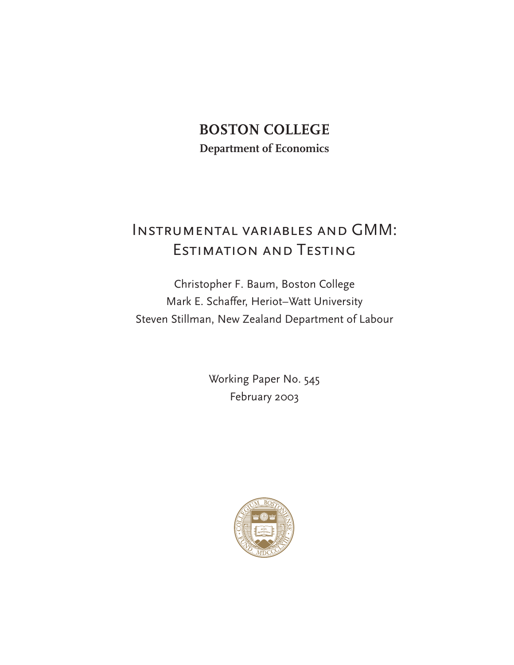# **BOSTON COLLEGE Department of Economics**

# Instrumental variables and GMM: Estimation and Testing

Christopher F. Baum, Boston College Mark E. Schaffer, Heriot–Watt University Steven Stillman, New Zealand Department of Labour

> Working Paper No. 545 February 2003

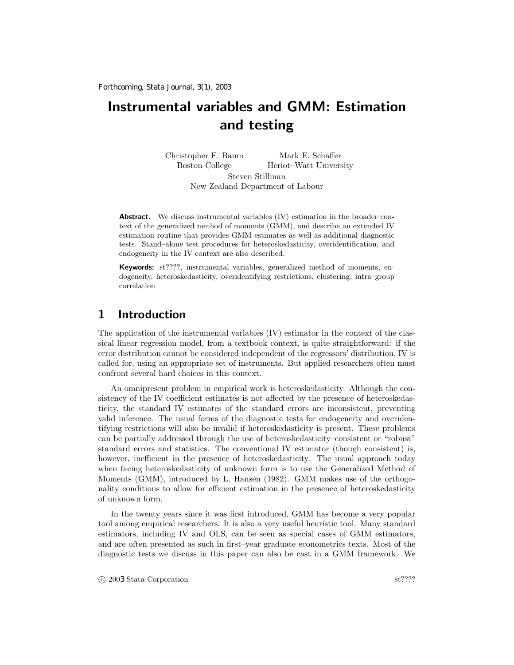# Instrumental variables and GMM: Estimation and testing

Christopher F. Baum Boston College Mark E. Schaffer Heriot–Watt University Steven Stillman New Zealand Department of Labour

Abstract. We discuss instrumental variables (IV) estimation in the broader context of the generalized method of moments (GMM), and describe an extended IV estimation routine that provides GMM estimates as well as additional diagnostic tests. Stand–alone test procedures for heteroskedasticity, overidentification, and endogeneity in the IV context are also described.

Keywords: st????, instrumental variables, generalized method of moments, endogeneity, heteroskedasticity, overidentifying restrictions, clustering, intra–group correlation

# 1 Introduction

The application of the instrumental variables (IV) estimator in the context of the classical linear regression model, from a textbook context, is quite straightforward: if the error distribution cannot be considered independent of the regressors' distribution, IV is called for, using an appropriate set of instruments. But applied researchers often must confront several hard choices in this context.

An omnipresent problem in empirical work is heteroskedasticity. Although the consistency of the IV coefficient estimates is not affected by the presence of heteroskedasticity, the standard IV estimates of the standard errors are inconsistent, preventing valid inference. The usual forms of the diagnostic tests for endogeneity and overidentifying restrictions will also be invalid if heteroskedasticity is present. These problems can be partially addressed through the use of heteroskedasticity–consistent or "robust" standard errors and statistics. The conventional IV estimator (though consistent) is, however, inefficient in the presence of heteroskedasticity. The usual approach today when facing heteroskedasticity of unknown form is to use the Generalized Method of Moments (GMM), introduced by L. Hansen (1982). GMM makes use of the orthogonality conditions to allow for efficient estimation in the presence of heteroskedasticity of unknown form.

In the twenty years since it was first introduced, GMM has become a very popular tool among empirical researchers. It is also a very useful heuristic tool. Many standard estimators, including IV and OLS, can be seen as special cases of GMM estimators, and are often presented as such in first–year graduate econometrics texts. Most of the diagnostic tests we discuss in this paper can also be cast in a GMM framework. We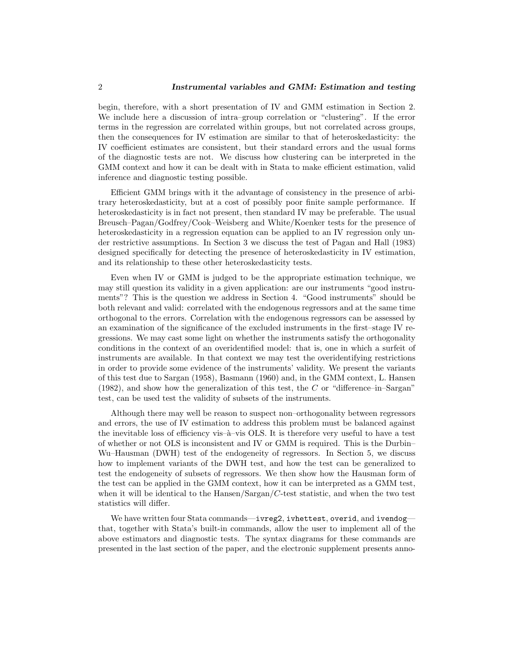begin, therefore, with a short presentation of IV and GMM estimation in Section 2. We include here a discussion of intra–group correlation or "clustering". If the error terms in the regression are correlated within groups, but not correlated across groups, then the consequences for IV estimation are similar to that of heteroskedasticity: the IV coefficient estimates are consistent, but their standard errors and the usual forms of the diagnostic tests are not. We discuss how clustering can be interpreted in the GMM context and how it can be dealt with in Stata to make efficient estimation, valid inference and diagnostic testing possible.

Efficient GMM brings with it the advantage of consistency in the presence of arbitrary heteroskedasticity, but at a cost of possibly poor finite sample performance. If heteroskedasticity is in fact not present, then standard IV may be preferable. The usual Breusch–Pagan/Godfrey/Cook–Weisberg and White/Koenker tests for the presence of heteroskedasticity in a regression equation can be applied to an IV regression only under restrictive assumptions. In Section 3 we discuss the test of Pagan and Hall (1983) designed specifically for detecting the presence of heteroskedasticity in IV estimation, and its relationship to these other heteroskedasticity tests.

Even when IV or GMM is judged to be the appropriate estimation technique, we may still question its validity in a given application: are our instruments "good instruments"? This is the question we address in Section 4. "Good instruments" should be both relevant and valid: correlated with the endogenous regressors and at the same time orthogonal to the errors. Correlation with the endogenous regressors can be assessed by an examination of the significance of the excluded instruments in the first–stage IV regressions. We may cast some light on whether the instruments satisfy the orthogonality conditions in the context of an overidentified model: that is, one in which a surfeit of instruments are available. In that context we may test the overidentifying restrictions in order to provide some evidence of the instruments' validity. We present the variants of this test due to Sargan (1958), Basmann (1960) and, in the GMM context, L. Hansen  $(1982)$ , and show how the generalization of this test, the C or "difference-in-Sargan" test, can be used test the validity of subsets of the instruments.

Although there may well be reason to suspect non–orthogonality between regressors and errors, the use of IV estimation to address this problem must be balanced against the inevitable loss of efficiency vis– $\grave{a}$ –vis OLS. It is therefore very useful to have a test of whether or not OLS is inconsistent and IV or GMM is required. This is the Durbin– Wu–Hausman (DWH) test of the endogeneity of regressors. In Section 5, we discuss how to implement variants of the DWH test, and how the test can be generalized to test the endogeneity of subsets of regressors. We then show how the Hausman form of the test can be applied in the GMM context, how it can be interpreted as a GMM test, when it will be identical to the Hansen/Sargan/ $C$ -test statistic, and when the two test statistics will differ.

We have written four Stata commands—ivreg2, ivhettest, overid, and ivendog that, together with Stata's built-in commands, allow the user to implement all of the above estimators and diagnostic tests. The syntax diagrams for these commands are presented in the last section of the paper, and the electronic supplement presents anno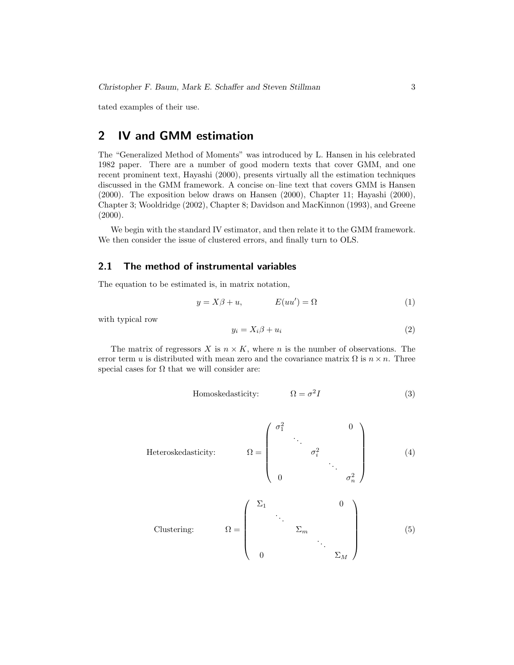tated examples of their use.

# 2 IV and GMM estimation

The "Generalized Method of Moments" was introduced by L. Hansen in his celebrated 1982 paper. There are a number of good modern texts that cover GMM, and one recent prominent text, Hayashi (2000), presents virtually all the estimation techniques discussed in the GMM framework. A concise on–line text that covers GMM is Hansen (2000). The exposition below draws on Hansen (2000), Chapter 11; Hayashi (2000), Chapter 3; Wooldridge (2002), Chapter 8; Davidson and MacKinnon (1993), and Greene  $(2000).$ 

We begin with the standard IV estimator, and then relate it to the GMM framework. We then consider the issue of clustered errors, and finally turn to OLS.

#### 2.1 The method of instrumental variables

The equation to be estimated is, in matrix notation,

$$
y = X\beta + u, \qquad E(uu') = \Omega \tag{1}
$$

with typical row

$$
y_i = X_i \beta + u_i \tag{2}
$$

The matrix of regressors X is  $n \times K$ , where n is the number of observations. The error term u is distributed with mean zero and the covariance matrix  $\Omega$  is  $n \times n$ . Three special cases for  $\Omega$  that we will consider are:

$$
Homoskedasticity: \qquad \Omega = \sigma^2 I \tag{3}
$$

Heteroskedasticity: 
$$
\Omega = \begin{pmatrix} \sigma_1^2 & & & 0 \\ & \ddots & & \\ & & \sigma_i^2 & \\ 0 & & & \ddots \\ & & & & \sigma_n^2 \end{pmatrix}
$$
 (4)

Clustering: 
$$
\Omega = \begin{pmatrix} \Sigma_1 & & & 0 \\ & \ddots & & \\ & & \Sigma_m & \\ & & & \ddots \\ 0 & & & & \Sigma_M \end{pmatrix}
$$
 (5)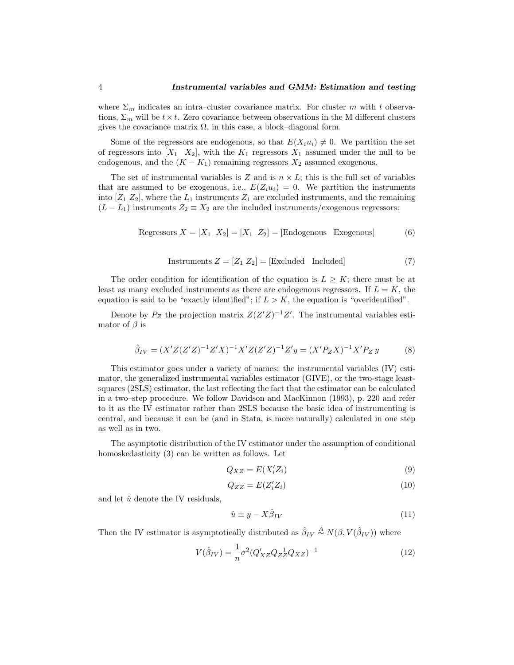where  $\Sigma_m$  indicates an intra–cluster covariance matrix. For cluster m with t observations,  $\Sigma_m$  will be  $t \times t$ . Zero covariance between observations in the M different clusters gives the covariance matrix  $\Omega$ , in this case, a block–diagonal form.

Some of the regressors are endogenous, so that  $E(X_i u_i) \neq 0$ . We partition the set of regressors into  $[X_1 \ X_2]$ , with the  $K_1$  regressors  $X_1$  assumed under the null to be endogenous, and the  $(K - K_1)$  remaining regressors  $X_2$  assumed exogenous.

The set of instrumental variables is Z and is  $n \times L$ ; this is the full set of variables that are assumed to be exogenous, i.e.,  $E(Z_i u_i) = 0$ . We partition the instruments into  $[Z_1 \ Z_2]$ , where the  $L_1$  instruments  $Z_1$  are excluded instruments, and the remaining  $(L - L_1)$  instruments  $Z_2 \equiv X_2$  are the included instruments/exogenous regressors:

Regressors  $X = [X_1 \ X_2] = [X_1 \ Z_2] =$  [Endogenous Exogenous] (6)

$$
Instruments Z = [Z_1 Z_2] = [Excluded Included]
$$
\n(7)

The order condition for identification of the equation is  $L \geq K$ ; there must be at least as many excluded instruments as there are endogenous regressors. If  $L = K$ , the equation is said to be "exactly identified"; if  $L > K$ , the equation is "overidentified".

Denote by  $P_Z$  the projection matrix  $Z(Z'Z)^{-1}Z'$ . The instrumental variables estimator of  $\beta$  is

$$
\hat{\beta}_{IV} = (X'Z(Z'Z)^{-1}Z'X)^{-1}X'Z(Z'Z)^{-1}Z'y = (X'P_ZX)^{-1}X'P_Zy \tag{8}
$$

This estimator goes under a variety of names: the instrumental variables (IV) estimator, the generalized instrumental variables estimator (GIVE), or the two-stage leastsquares (2SLS) estimator, the last reflecting the fact that the estimator can be calculated in a two–step procedure. We follow Davidson and MacKinnon (1993), p. 220 and refer to it as the IV estimator rather than 2SLS because the basic idea of instrumenting is central, and because it can be (and in Stata, is more naturally) calculated in one step as well as in two.

The asymptotic distribution of the IV estimator under the assumption of conditional homoskedasticity (3) can be written as follows. Let

$$
Q_{XZ} = E(X_i' Z_i) \tag{9}
$$

$$
Q_{ZZ} = E(Z_i' Z_i) \tag{10}
$$

and let  $\hat{u}$  denote the IV residuals,

$$
\hat{u} \equiv y - X\hat{\beta}_{IV} \tag{11}
$$

Then the IV estimator is asymptotically distributed as  $\hat{\beta}_{IV} \stackrel{A}{\sim} N(\beta, V(\hat{\beta}_{IV}))$  where

$$
V(\hat{\beta}_{IV}) = \frac{1}{n}\sigma^2 (Q'_{XZ} Q_{ZZ}^{-1} Q_{XZ})^{-1}
$$
\n(12)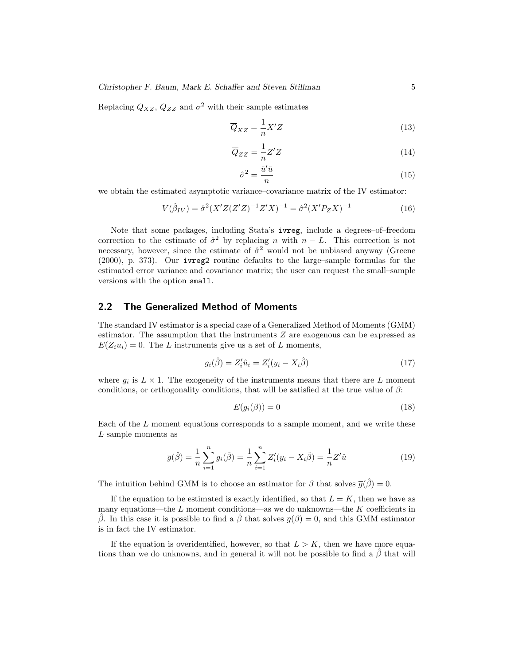Replacing  $Q_{XZ}$ ,  $Q_{ZZ}$  and  $\sigma^2$  with their sample estimates

$$
\overline{Q}_{XZ} = -\frac{1}{n}X'Z\tag{13}
$$

$$
\overline{Q}_{ZZ} = \frac{1}{n} Z' Z \tag{14}
$$

$$
\hat{\sigma}^2 = \frac{\hat{u}'\hat{u}}{n} \tag{15}
$$

we obtain the estimated asymptotic variance–covariance matrix of the IV estimator:

$$
V(\hat{\beta}_{IV}) = \hat{\sigma}^2 (X'Z(Z'Z)^{-1}Z'X)^{-1} = \hat{\sigma}^2 (X'P_ZX)^{-1}
$$
(16)

Note that some packages, including Stata's ivreg, include a degrees–of–freedom correction to the estimate of  $\hat{\sigma}^2$  by replacing n with  $n - L$ . This correction is not necessary, however, since the estimate of  $\hat{\sigma}^2$  would not be unbiased anyway (Greene (2000), p. 373). Our ivreg2 routine defaults to the large–sample formulas for the estimated error variance and covariance matrix; the user can request the small–sample versions with the option small.

### 2.2 The Generalized Method of Moments

The standard IV estimator is a special case of a Generalized Method of Moments (GMM) estimator. The assumption that the instruments Z are exogenous can be expressed as  $E(Z_i u_i) = 0$ . The L instruments give us a set of L moments,

$$
g_i(\hat{\beta}) = Z_i' \hat{u}_i = Z_i'(y_i - X_i \hat{\beta})
$$
\n(17)

where  $g_i$  is  $L \times 1$ . The exogeneity of the instruments means that there are L moment conditions, or orthogonality conditions, that will be satisfied at the true value of  $\beta$ :

$$
E(g_i(\beta)) = 0 \tag{18}
$$

Each of the  $L$  moment equations corresponds to a sample moment, and we write these L sample moments as

$$
\overline{g}(\hat{\beta}) = \frac{1}{n} \sum_{i=1}^{n} g_i(\hat{\beta}) = \frac{1}{n} \sum_{i=1}^{n} Z_i'(y_i - X_i \hat{\beta}) = \frac{1}{n} Z' \hat{u}
$$
(19)

The intuition behind GMM is to choose an estimator for  $\beta$  that solves  $\overline{g}(\hat{\beta}) = 0$ .

If the equation to be estimated is exactly identified, so that  $L = K$ , then we have as many equations—the  $L$  moment conditions—as we do unknowns—the  $K$  coefficients in β. In this case it is possible to find a β that solves  $\overline{q}(\beta) = 0$ , and this GMM estimator is in fact the IV estimator.

If the equation is overidentified, however, so that  $L > K$ , then we have more equations than we do unknowns, and in general it will not be possible to find a  $\hat{\beta}$  that will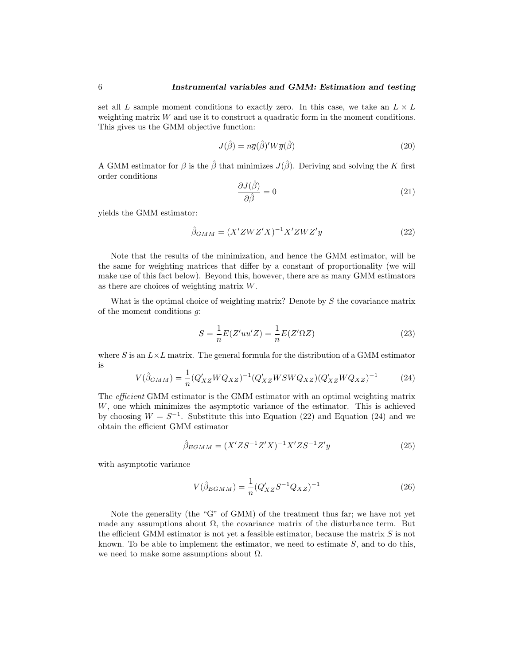set all L sample moment conditions to exactly zero. In this case, we take an  $L \times L$ weighting matrix W and use it to construct a quadratic form in the moment conditions. This gives us the GMM objective function:

$$
J(\hat{\beta}) = n\overline{g}(\hat{\beta})'W\overline{g}(\hat{\beta})\tag{20}
$$

A GMM estimator for  $\beta$  is the  $\hat{\beta}$  that minimizes  $J(\hat{\beta})$ . Deriving and solving the K first order conditions

$$
\frac{\partial J(\hat{\beta})}{\partial \hat{\beta}} = 0 \tag{21}
$$

yields the GMM estimator:

$$
\hat{\beta}_{GMM} = (X'ZWZ'X)^{-1}X'ZWZ'y \tag{22}
$$

Note that the results of the minimization, and hence the GMM estimator, will be the same for weighting matrices that differ by a constant of proportionality (we will make use of this fact below). Beyond this, however, there are as many GMM estimators as there are choices of weighting matrix W.

What is the optimal choice of weighting matrix? Denote by  $S$  the covariance matrix of the moment conditions g:

$$
S = \frac{1}{n}E(Z'uu'Z) = \frac{1}{n}E(Z'\Omega Z)
$$
\n(23)

where S is an  $L\times L$  matrix. The general formula for the distribution of a GMM estimator is

$$
V(\hat{\beta}_{GMM}) = \frac{1}{n} (Q'_{XZ} W Q_{XZ})^{-1} (Q'_{XZ} W S W Q_{XZ}) (Q'_{XZ} W Q_{XZ})^{-1}
$$
(24)

The efficient GMM estimator is the GMM estimator with an optimal weighting matrix W, one which minimizes the asymptotic variance of the estimator. This is achieved by choosing  $W = S^{-1}$ . Substitute this into Equation (22) and Equation (24) and we obtain the efficient GMM estimator

$$
\hat{\beta}_{EGMM} = (X'ZS^{-1}Z'X)^{-1}X'ZS^{-1}Z'y \tag{25}
$$

with asymptotic variance

$$
V(\hat{\beta}_{EGMM}) = \frac{1}{n} (Q'_{XZ} S^{-1} Q_{XZ})^{-1}
$$
\n(26)

Note the generality (the "G" of GMM) of the treatment thus far; we have not yet made any assumptions about  $\Omega$ , the covariance matrix of the disturbance term. But the efficient GMM estimator is not yet a feasible estimator, because the matrix  $S$  is not known. To be able to implement the estimator, we need to estimate  $S$ , and to do this, we need to make some assumptions about  $\Omega$ .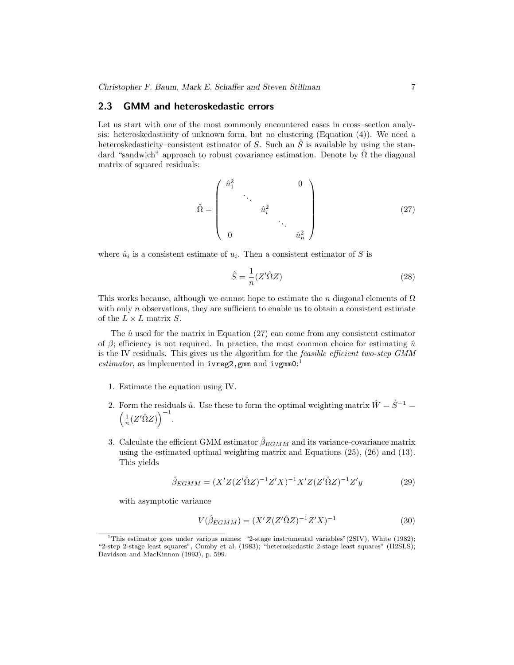#### 2.3 GMM and heteroskedastic errors

Let us start with one of the most commonly encountered cases in cross–section analysis: heteroskedasticity of unknown form, but no clustering (Equation (4)). We need a heteroskedasticity–consistent estimator of S. Such an  $\hat{S}$  is available by using the standard "sandwich" approach to robust covariance estimation. Denote by  $\hat{\Omega}$  the diagonal matrix of squared residuals:

$$
\hat{\Omega} = \begin{pmatrix} \hat{u}_1^2 & & & & 0 \\ & \ddots & & & \\ & & \hat{u}_i^2 & & \\ & & & \ddots & \\ 0 & & & & \hat{u}_n^2 \end{pmatrix}
$$
 (27)

where  $\hat{u}_i$  is a consistent estimate of  $u_i$ . Then a consistent estimator of S is

$$
\hat{S} = \frac{1}{n} (Z'\hat{\Omega}Z)
$$
\n(28)

This works because, although we cannot hope to estimate the n diagonal elements of  $\Omega$ with only  $n$  observations, they are sufficient to enable us to obtain a consistent estimate of the  $L \times L$  matrix S.

The  $\hat{u}$  used for the matrix in Equation (27) can come from any consistent estimator of β; efficiency is not required. In practice, the most common choice for estimating  $\hat{u}$ is the IV residuals. This gives us the algorithm for the feasible efficient two-step GMM  $estimator$ , as implemented in  $\texttt{ivreg2,gmm}$  and  $\texttt{ivgmm0:}^1$ 

- 1. Estimate the equation using IV.
- 2. Form the residuals  $\hat{u}$ . Use these to form the optimal weighting matrix  $\hat{W} = \hat{S}^{-1}$  $\left(\frac{1}{n}(Z'\hat{\Omega}Z)\right)^{-1}.$
- 3. Calculate the efficient GMM estimator  $\beta_{EGMM}$  and its variance-covariance matrix using the estimated optimal weighting matrix and Equations (25), (26) and (13). This yields

$$
\hat{\beta}_{EGMM} = (X'Z(Z'\hat{\Omega}Z)^{-1}Z'X)^{-1}X'Z(Z'\hat{\Omega}Z)^{-1}Z'y \tag{29}
$$

with asymptotic variance

$$
V(\hat{\beta}_{EGMM}) = (X'Z(Z'\hat{\Omega}Z)^{-1}Z'X)^{-1}
$$
\n(30)

<sup>&</sup>lt;sup>1</sup>This estimator goes under various names: "2-stage instrumental variables" (2SIV), White (1982); "2-step 2-stage least squares", Cumby et al. (1983); "heteroskedastic 2-stage least squares" (H2SLS); Davidson and MacKinnon (1993), p. 599.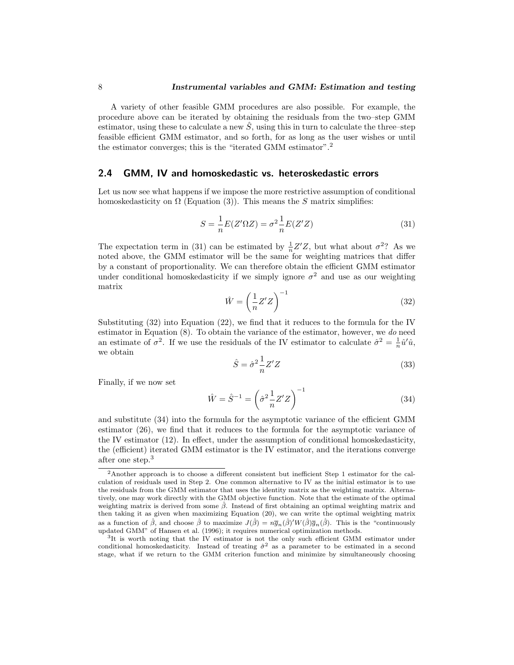A variety of other feasible GMM procedures are also possible. For example, the procedure above can be iterated by obtaining the residuals from the two–step GMM estimator, using these to calculate a new  $\tilde{S}$ , using this in turn to calculate the three–step feasible efficient GMM estimator, and so forth, for as long as the user wishes or until the estimator converges; this is the "iterated GMM estimator".<sup>2</sup>

#### 2.4 GMM, IV and homoskedastic vs. heteroskedastic errors

Let us now see what happens if we impose the more restrictive assumption of conditional homoskedasticity on  $\Omega$  (Equation (3)). This means the S matrix simplifies:

$$
S = \frac{1}{n}E(Z'\Omega Z) = \sigma^2 \frac{1}{n}E(Z'Z)
$$
\n(31)

The expectation term in (31) can be estimated by  $\frac{1}{n}Z'Z$ , but what about  $\sigma^2$ ? As we noted above, the GMM estimator will be the same for weighting matrices that differ by a constant of proportionality. We can therefore obtain the efficient GMM estimator under conditional homoskedasticity if we simply ignore  $\sigma^2$  and use as our weighting matrix

$$
\hat{W} = \left(\frac{1}{n}Z'Z\right)^{-1} \tag{32}
$$

Substituting (32) into Equation (22), we find that it reduces to the formula for the IV estimator in Equation (8). To obtain the variance of the estimator, however, we do need an estimate of  $\sigma^2$ . If we use the residuals of the IV estimator to calculate  $\hat{\sigma}^2 = \frac{1}{n} \hat{u}' \hat{u}$ , we obtain

$$
\hat{S} = \hat{\sigma}^2 \frac{1}{n} Z' Z \tag{33}
$$

Finally, if we now set

$$
\hat{W} = \hat{S}^{-1} = \left(\hat{\sigma}^2 \frac{1}{n} Z' Z\right)^{-1} \tag{34}
$$

and substitute (34) into the formula for the asymptotic variance of the efficient GMM estimator (26), we find that it reduces to the formula for the asymptotic variance of the IV estimator (12). In effect, under the assumption of conditional homoskedasticity, the (efficient) iterated GMM estimator is the IV estimator, and the iterations converge after one step.<sup>3</sup>

<sup>&</sup>lt;sup>2</sup>Another approach is to choose a different consistent but inefficient Step 1 estimator for the calculation of residuals used in Step 2. One common alternative to IV as the initial estimator is to use the residuals from the GMM estimator that uses the identity matrix as the weighting matrix. Alternatively, one may work directly with the GMM objective function. Note that the estimate of the optimal weighting matrix is derived from some  $\beta$ . Instead of first obtaining an optimal weighting matrix and then taking it as given when maximizing Equation (20), we can write the optimal weighting matrix as a function of  $\hat{\beta}$ , and choose  $\hat{\beta}$  to maximize  $J(\hat{\beta}) = n\overline{g}_n(\hat{\beta})'W(\hat{\beta})\overline{g}_n(\hat{\beta})$ . This is the "continuously updated GMM" of Hansen et al. (1996); it requires numerical optimization methods.

<sup>&</sup>lt;sup>3</sup>It is worth noting that the IV estimator is not the only such efficient GMM estimator under conditional homoskedasticity. Instead of treating  $\hat{\sigma}^2$  as a parameter to be estimated in a second stage, what if we return to the GMM criterion function and minimize by simultaneously choosing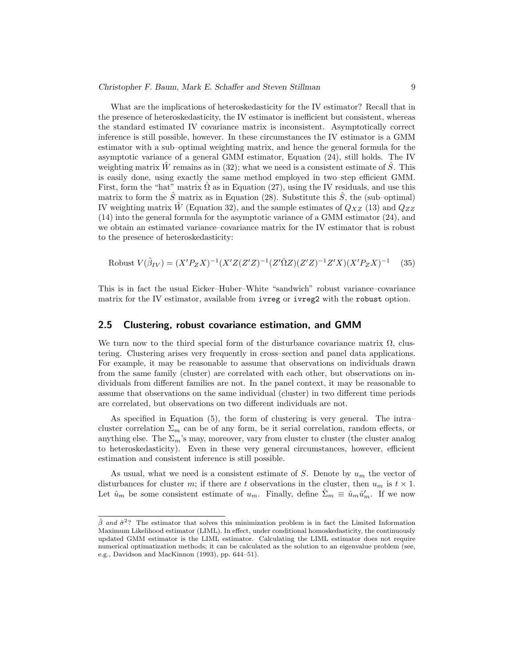What are the implications of heteroskedasticity for the IV estimator? Recall that in the presence of heteroskedasticity, the IV estimator is inefficient but consistent, whereas the standard estimated IV covariance matrix is inconsistent. Asymptotically correct inference is still possible, however. In these circumstances the IV estimator is a GMM estimator with a sub–optimal weighting matrix, and hence the general formula for the asymptotic variance of a general GMM estimator, Equation (24), still holds. The IV weighting matrix W remains as in  $(32)$ ; what we need is a consistent estimate of S. This is easily done, using exactly the same method employed in two–step efficient GMM. First, form the "hat" matrix  $\Omega$  as in Equation (27), using the IV residuals, and use this matrix to form the  $\tilde{S}$  matrix as in Equation (28). Substitute this  $\tilde{S}$ , the (sub–optimal) IV weighting matrix  $\hat{W}$  (Equation 32), and the sample estimates of  $Q_{XZ}$  (13) and  $Q_{ZZ}$ (14) into the general formula for the asymptotic variance of a GMM estimator (24), and we obtain an estimated variance–covariance matrix for the IV estimator that is robust to the presence of heteroskedasticity:

Robust 
$$
V(\hat{\beta}_{IV}) = (X'P_ZX)^{-1}(X'Z(Z'Z)^{-1}(Z'\hat{\Omega}Z)(Z'Z)^{-1}Z'X)(X'P_ZX)^{-1}
$$
 (35)

This is in fact the usual Eicker–Huber–White "sandwich" robust variance–covariance matrix for the IV estimator, available from ivreg or ivreg2 with the robust option.

#### 2.5 Clustering, robust covariance estimation, and GMM

We turn now to the third special form of the disturbance covariance matrix  $\Omega$ , clustering. Clustering arises very frequently in cross–section and panel data applications. For example, it may be reasonable to assume that observations on individuals drawn from the same family (cluster) are correlated with each other, but observations on individuals from different families are not. In the panel context, it may be reasonable to assume that observations on the same individual (cluster) in two different time periods are correlated, but observations on two different individuals are not.

As specified in Equation (5), the form of clustering is very general. The intra– cluster correlation  $\Sigma_m$  can be of any form, be it serial correlation, random effects, or anything else. The  $\Sigma_m$ 's may, moreover, vary from cluster to cluster (the cluster analog to heteroskedasticity). Even in these very general circumstances, however, efficient estimation and consistent inference is still possible.

As usual, what we need is a consistent estimate of S. Denote by  $u_m$  the vector of disturbances for cluster m; if there are t observations in the cluster, then  $u_m$  is  $t \times 1$ . Let  $\hat{u}_m$  be some consistent estimate of  $u_m$ . Finally, define  $\hat{\Sigma}_m \equiv \hat{u}_m \hat{u}'_m$ . If we now

 $\hat{\beta}$  and  $\hat{\sigma}^2$ ? The estimator that solves this minimization problem is in fact the Limited Information Maximum Likelihood estimator (LIML). In effect, under conditional homoskedasticity, the continuously updated GMM estimator is the LIML estimator. Calculating the LIML estimator does not require numerical optimatization methods; it can be calculated as the solution to an eigenvalue problem (see, e.g., Davidson and MacKinnon (1993), pp. 644–51).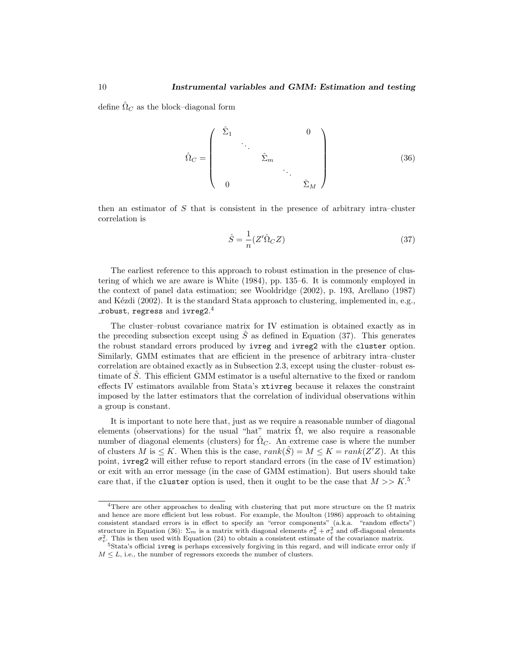define  $\hat{\Omega}_C$  as the block–diagonal form

$$
\hat{\Omega}_C = \begin{pmatrix} \hat{\Sigma}_1 & & & & 0 \\ & \ddots & & & \\ & & \hat{\Sigma}_m & & \\ & & & \ddots & \\ 0 & & & & \hat{\Sigma}_M \end{pmatrix}
$$
 (36)

then an estimator of  $S$  that is consistent in the presence of arbitrary intra–cluster correlation is

$$
\hat{S} = \frac{1}{n} (Z'\hat{\Omega}_C Z) \tag{37}
$$

The earliest reference to this approach to robust estimation in the presence of clustering of which we are aware is White (1984), pp. 135–6. It is commonly employed in the context of panel data estimation; see Wooldridge (2002), p. 193, Arellano (1987) and Kézdi  $(2002)$ . It is the standard Stata approach to clustering, implemented in, e.g., robust, regress and ivreg2. $^4$ 

The cluster–robust covariance matrix for IV estimation is obtained exactly as in the preceding subsection except using  $\hat{S}$  as defined in Equation (37). This generates the robust standard errors produced by ivreg and ivreg2 with the cluster option. Similarly, GMM estimates that are efficient in the presence of arbitrary intra–cluster correlation are obtained exactly as in Subsection 2.3, except using the cluster–robust estimate of  $S$ . This efficient GMM estimator is a useful alternative to the fixed or random effects IV estimators available from Stata's xtivreg because it relaxes the constraint imposed by the latter estimators that the correlation of individual observations within a group is constant.

It is important to note here that, just as we require a reasonable number of diagonal elements (observations) for the usual "hat" matrix  $\hat{\Omega}$ , we also require a reasonable number of diagonal elements (clusters) for  $\Omega_c$ . An extreme case is where the number of clusters M is  $\leq K$ . When this is the case,  $rank(\hat{S}) = M \leq K = rank(Z'Z)$ . At this point, ivreg2 will either refuse to report standard errors (in the case of IV estimation) or exit with an error message (in the case of GMM estimation). But users should take care that, if the cluster option is used, then it ought to be the case that  $M >> K$ .<sup>5</sup>

<sup>&</sup>lt;sup>4</sup>There are other approaches to dealing with clustering that put more structure on the  $\Omega$  matrix and hence are more efficient but less robust. For example, the Moulton (1986) approach to obtaining consistent standard errors is in effect to specify an "error components" (a.k.a. "random effects") structure in Equation (36):  $\Sigma_m$  is a matrix with diagonal elements  $\sigma_u^2 + \sigma_v^2$  and off-diagonal elements  $\sigma_v^2$ . This is then used with Equation (24) to obtain a consistent estimate of the covariance matrix.

<sup>5</sup>Stata's official ivreg is perhaps excessively forgiving in this regard, and will indicate error only if  $M \leq L$ , i.e., the number of regressors exceeds the number of clusters.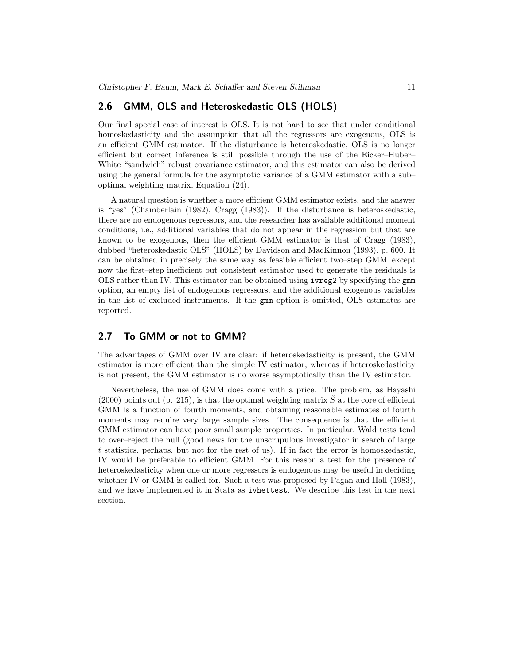### 2.6 GMM, OLS and Heteroskedastic OLS (HOLS)

Our final special case of interest is OLS. It is not hard to see that under conditional homoskedasticity and the assumption that all the regressors are exogenous, OLS is an efficient GMM estimator. If the disturbance is heteroskedastic, OLS is no longer efficient but correct inference is still possible through the use of the Eicker–Huber– White "sandwich" robust covariance estimator, and this estimator can also be derived using the general formula for the asymptotic variance of a GMM estimator with a sub– optimal weighting matrix, Equation (24).

A natural question is whether a more efficient GMM estimator exists, and the answer is "yes" (Chamberlain (1982), Cragg (1983)). If the disturbance is heteroskedastic, there are no endogenous regressors, and the researcher has available additional moment conditions, i.e., additional variables that do not appear in the regression but that are known to be exogenous, then the efficient GMM estimator is that of Cragg (1983), dubbed "heteroskedastic OLS" (HOLS) by Davidson and MacKinnon (1993), p. 600. It can be obtained in precisely the same way as feasible efficient two–step GMM except now the first–step inefficient but consistent estimator used to generate the residuals is OLS rather than IV. This estimator can be obtained using ivreg2 by specifying the gmm option, an empty list of endogenous regressors, and the additional exogenous variables in the list of excluded instruments. If the gmm option is omitted, OLS estimates are reported.

### 2.7 To GMM or not to GMM?

The advantages of GMM over IV are clear: if heteroskedasticity is present, the GMM estimator is more efficient than the simple IV estimator, whereas if heteroskedasticity is not present, the GMM estimator is no worse asymptotically than the IV estimator.

Nevertheless, the use of GMM does come with a price. The problem, as Hayashi  $(2000)$  points out (p. 215), is that the optimal weighting matrix S at the core of efficient GMM is a function of fourth moments, and obtaining reasonable estimates of fourth moments may require very large sample sizes. The consequence is that the efficient GMM estimator can have poor small sample properties. In particular, Wald tests tend to over–reject the null (good news for the unscrupulous investigator in search of large t statistics, perhaps, but not for the rest of us). If in fact the error is homoskedastic, IV would be preferable to efficient GMM. For this reason a test for the presence of heteroskedasticity when one or more regressors is endogenous may be useful in deciding whether IV or GMM is called for. Such a test was proposed by Pagan and Hall (1983), and we have implemented it in Stata as ivhettest. We describe this test in the next section.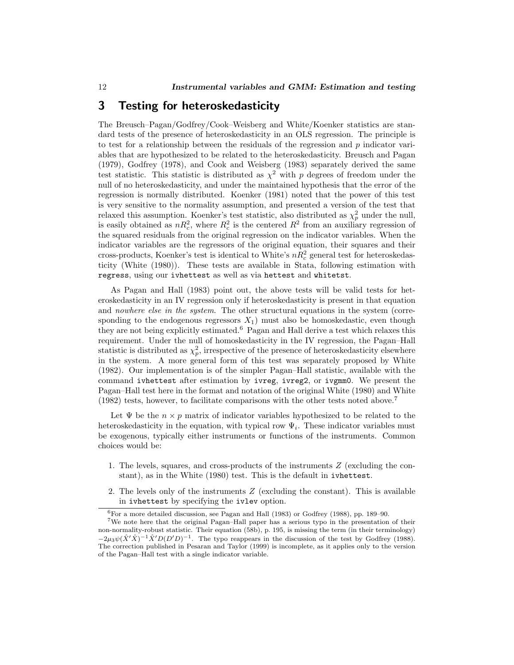# 3 Testing for heteroskedasticity

The Breusch–Pagan/Godfrey/Cook–Weisberg and White/Koenker statistics are standard tests of the presence of heteroskedasticity in an OLS regression. The principle is to test for a relationship between the residuals of the regression and  $p$  indicator variables that are hypothesized to be related to the heteroskedasticity. Breusch and Pagan (1979), Godfrey (1978), and Cook and Weisberg (1983) separately derived the same test statistic. This statistic is distributed as  $\chi^2$  with p degrees of freedom under the null of no heteroskedasticity, and under the maintained hypothesis that the error of the regression is normally distributed. Koenker (1981) noted that the power of this test is very sensitive to the normality assumption, and presented a version of the test that relaxed this assumption. Koenker's test statistic, also distributed as  $\chi_p^2$  under the null, is easily obtained as  $nR_c^2$ , where  $R_c^2$  is the centered  $R^2$  from an auxiliary regression of the squared residuals from the original regression on the indicator variables. When the indicator variables are the regressors of the original equation, their squares and their cross-products, Koenker's test is identical to White's  $nR_c^2$  general test for heteroskedasticity (White (1980)). These tests are available in Stata, following estimation with regress, using our ivhettest as well as via hettest and whitetst.

As Pagan and Hall (1983) point out, the above tests will be valid tests for heteroskedasticity in an IV regression only if heteroskedasticity is present in that equation and *nowhere else in the system*. The other structural equations in the system (corresponding to the endogenous regressors  $X_1$ ) must also be homoskedastic, even though they are not being explicitly estimated.<sup>6</sup> Pagan and Hall derive a test which relaxes this requirement. Under the null of homoskedasticity in the IV regression, the Pagan–Hall statistic is distributed as  $\chi_p^2$ , irrespective of the presence of heteroskedasticity elsewhere in the system. A more general form of this test was separately proposed by White (1982). Our implementation is of the simpler Pagan–Hall statistic, available with the command ivhettest after estimation by ivreg, ivreg2, or ivgmm0. We present the Pagan–Hall test here in the format and notation of the original White (1980) and White (1982) tests, however, to facilitate comparisons with the other tests noted above.<sup>7</sup>

Let  $\Psi$  be the  $n \times p$  matrix of indicator variables hypothesized to be related to the heteroskedasticity in the equation, with typical row  $\Psi_i$ . These indicator variables must be exogenous, typically either instruments or functions of the instruments. Common choices would be:

- 1. The levels, squares, and cross-products of the instruments Z (excluding the constant), as in the White (1980) test. This is the default in ivhettest.
- 2. The levels only of the instruments Z (excluding the constant). This is available in ivhettest by specifying the ivlev option.

<sup>6</sup>For a more detailed discussion, see Pagan and Hall (1983) or Godfrey (1988), pp. 189–90.

<sup>7</sup>We note here that the original Pagan–Hall paper has a serious typo in the presentation of their non-normality-robust statistic. Their equation (58b), p. 195, is missing the term (in their terminology)  $-2\mu_3\psi(\hat{X}'\hat{X})^{-1}\hat{X}'D(D'D)^{-1}$ . The typo reappears in the discussion of the test by Godfrey (1988). The correction published in Pesaran and Taylor (1999) is incomplete, as it applies only to the version of the Pagan–Hall test with a single indicator variable.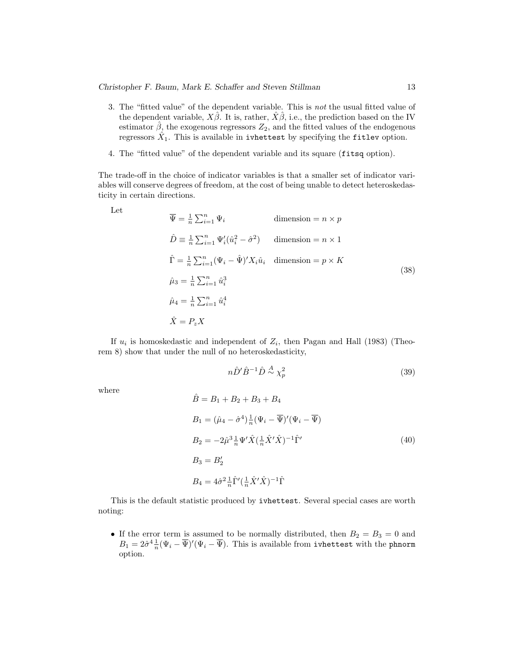- 3. The "fitted value" of the dependent variable. This is not the usual fitted value of the dependent variable,  $X\hat{\beta}$ . It is, rather,  $\hat{X}\hat{\beta}$ , i.e., the prediction based on the IV estimator  $\hat{\beta}$ , the exogenous regressors  $Z_2$ , and the fitted values of the endogenous regressors  $\hat{X_1}$ . This is available in ivhettest by specifying the fitlev option.
- 4. The "fitted value" of the dependent variable and its square (fitsq option).

The trade-off in the choice of indicator variables is that a smaller set of indicator variables will conserve degrees of freedom, at the cost of being unable to detect heteroskedasticity in certain directions.

Let

$$
\overline{\Psi} = \frac{1}{n} \sum_{i=1}^{n} \Psi_i \qquad \text{dimension} = n \times p
$$
\n
$$
\hat{D} \equiv \frac{1}{n} \sum_{i=1}^{n} \Psi'_i (\hat{u}_i^2 - \hat{\sigma}^2) \qquad \text{dimension} = n \times 1
$$
\n
$$
\hat{\Gamma} = \frac{1}{n} \sum_{i=1}^{n} (\Psi_i - \hat{\Psi})' X_i \hat{u}_i \qquad \text{dimension} = p \times K
$$
\n
$$
\hat{\mu}_3 = \frac{1}{n} \sum_{i=1}^{n} \hat{u}_i^3
$$
\n
$$
\hat{\mu}_4 = \frac{1}{n} \sum_{i=1}^{n} \hat{u}_i^4
$$
\n
$$
\hat{X} = P_z X
$$
\n(38)

If  $u_i$  is homoskedastic and independent of  $Z_i$ , then Pagan and Hall (1983) (Theorem 8) show that under the null of no heteroskedasticity,

$$
n\hat{D}'\hat{B}^{-1}\hat{D} \stackrel{A}{\sim} \chi_p^2 \tag{39}
$$

where

$$
\hat{B} = B_1 + B_2 + B_3 + B_4
$$
  
\n
$$
B_1 = (\hat{\mu}_4 - \hat{\sigma}^4) \frac{1}{n} (\Psi_i - \overline{\Psi})' (\Psi_i - \overline{\Psi})
$$
  
\n
$$
B_2 = -2\hat{\mu}^3 \frac{1}{n} \Psi' \hat{X} (\frac{1}{n} \hat{X}' \hat{X})^{-1} \hat{\Gamma}'
$$
  
\n
$$
B_3 = B_2'
$$
  
\n
$$
B_4 = 4\hat{\sigma}^2 \frac{1}{n} \hat{\Gamma}' (\frac{1}{n} \hat{X}' \hat{X})^{-1} \hat{\Gamma}
$$
\n(40)

This is the default statistic produced by ivhettest. Several special cases are worth noting:

• If the error term is assumed to be normally distributed, then  $B_2 = B_3 = 0$  and  $B_1 = 2\hat{\sigma}^4 \frac{1}{n} (\Psi_i - \overline{\Psi})' (\Psi_i - \overline{\Psi})$ . This is available from ivhettest with the phnorm option.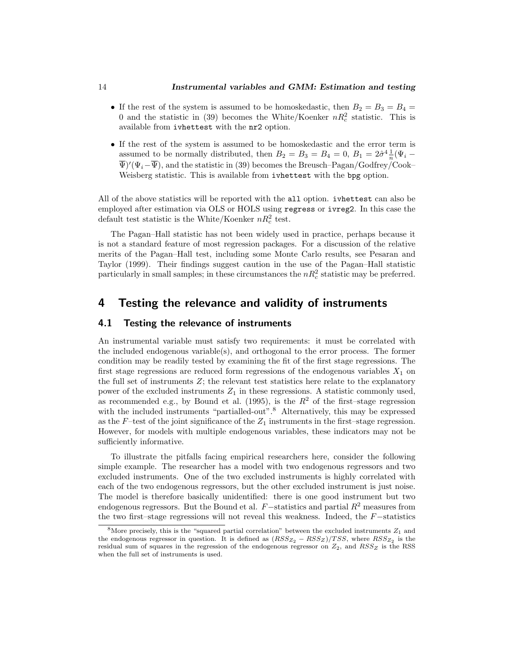#### 14 Instrumental variables and GMM: Estimation and testing

- If the rest of the system is assumed to be homoskedastic, then  $B_2 = B_3 = B_4 =$ 0 and the statistic in (39) becomes the White/Koenker  $nR_c^2$  statistic. This is available from ivhettest with the nr2 option.
- If the rest of the system is assumed to be homoskedastic and the error term is assumed to be normally distributed, then  $B_2 = B_3 = B_4 = 0$ ,  $B_1 = 2\hat{\sigma}^4 \frac{1}{n} (\Psi_i \overline{\Psi}$ <sup>'</sup> $(\Psi_i-\overline{\Psi})$ , and the statistic in (39) becomes the Breusch–Pagan/Godfrey/Cook– Weisberg statistic. This is available from ivhettest with the bpg option.

All of the above statistics will be reported with the all option. ivhettest can also be employed after estimation via OLS or HOLS using regress or ivreg2. In this case the default test statistic is the White/Koenker  $nR_c^2$  test.

The Pagan–Hall statistic has not been widely used in practice, perhaps because it is not a standard feature of most regression packages. For a discussion of the relative merits of the Pagan–Hall test, including some Monte Carlo results, see Pesaran and Taylor (1999). Their findings suggest caution in the use of the Pagan–Hall statistic particularly in small samples; in these circumstances the  $nR_c^2$  statistic may be preferred.

# 4 Testing the relevance and validity of instruments

#### 4.1 Testing the relevance of instruments

An instrumental variable must satisfy two requirements: it must be correlated with the included endogenous variable(s), and orthogonal to the error process. The former condition may be readily tested by examining the fit of the first stage regressions. The first stage regressions are reduced form regressions of the endogenous variables  $X_1$  on the full set of instruments  $Z$ ; the relevant test statistics here relate to the explanatory power of the excluded instruments  $Z_1$  in these regressions. A statistic commonly used, as recommended e.g., by Bound et al. (1995), is the  $R<sup>2</sup>$  of the first–stage regression with the included instruments "partialled-out".<sup>8</sup> Alternatively, this may be expressed as the  $F$ –test of the joint significance of the  $Z_1$  instruments in the first–stage regression. However, for models with multiple endogenous variables, these indicators may not be sufficiently informative.

To illustrate the pitfalls facing empirical researchers here, consider the following simple example. The researcher has a model with two endogenous regressors and two excluded instruments. One of the two excluded instruments is highly correlated with each of the two endogenous regressors, but the other excluded instrument is just noise. The model is therefore basically unidentified: there is one good instrument but two endogenous regressors. But the Bound et al.  $F$ -statistics and partial  $R^2$  measures from the two first–stage regressions will not reveal this weakness. Indeed, the F−statistics

<sup>&</sup>lt;sup>8</sup>More precisely, this is the "squared partial correlation" between the excluded instruments  $Z_1$  and the endogenous regressor in question. It is defined as  $(RSS_{Z_2} - RSS_Z)/TSS$ , where  $RSS_{Z_2}$  is the residual sum of squares in the regression of the endogenous regressor on  $Z_2$ , and  $RSS_{Z}$  is the RSS when the full set of instruments is used.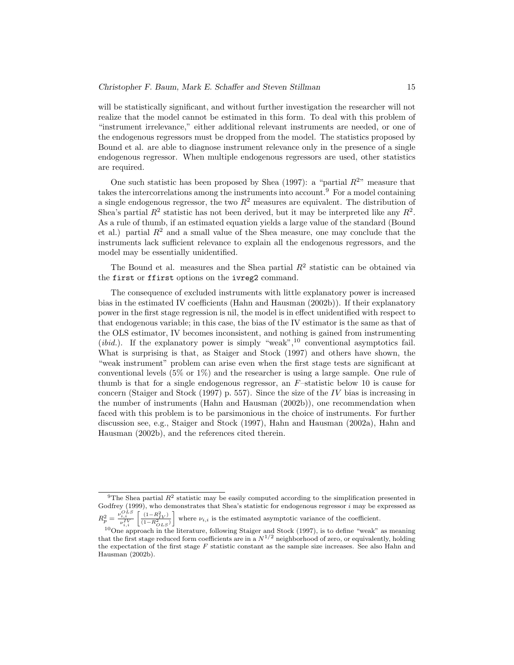will be statistically significant, and without further investigation the researcher will not realize that the model cannot be estimated in this form. To deal with this problem of "instrument irrelevance," either additional relevant instruments are needed, or one of the endogenous regressors must be dropped from the model. The statistics proposed by Bound et al. are able to diagnose instrument relevance only in the presence of a single endogenous regressor. When multiple endogenous regressors are used, other statistics are required.

One such statistic has been proposed by Shea (1997): a "partial  $R^{2n}$  measure that takes the intercorrelations among the instruments into account.<sup>9</sup> For a model containing a single endogenous regressor, the two  $R^2$  measures are equivalent. The distribution of Shea's partial  $R^2$  statistic has not been derived, but it may be interpreted like any  $R^2$ . As a rule of thumb, if an estimated equation yields a large value of the standard (Bound et al.) partial  $R<sup>2</sup>$  and a small value of the Shea measure, one may conclude that the instruments lack sufficient relevance to explain all the endogenous regressors, and the model may be essentially unidentified.

The Bound et al. measures and the Shea partial  $R^2$  statistic can be obtained via the first or ffirst options on the ivreg2 command.

The consequence of excluded instruments with little explanatory power is increased bias in the estimated IV coefficients (Hahn and Hausman (2002b)). If their explanatory power in the first stage regression is nil, the model is in effect unidentified with respect to that endogenous variable; in this case, the bias of the IV estimator is the same as that of the OLS estimator, IV becomes inconsistent, and nothing is gained from instrumenting (*ibid.*). If the explanatory power is simply "weak",  $^{10}$  conventional asymptotics fail. What is surprising is that, as Staiger and Stock (1997) and others have shown, the "weak instrument" problem can arise even when the first stage tests are significant at conventional levels (5% or 1%) and the researcher is using a large sample. One rule of thumb is that for a single endogenous regressor, an  $F$ -statistic below 10 is cause for concern (Staiger and Stock (1997) p. 557). Since the size of the  $IV$  bias is increasing in the number of instruments (Hahn and Hausman (2002b)), one recommendation when faced with this problem is to be parsimonious in the choice of instruments. For further discussion see, e.g., Staiger and Stock (1997), Hahn and Hausman (2002a), Hahn and Hausman (2002b), and the references cited therein.

<sup>&</sup>lt;sup>9</sup>The Shea partial  $R^2$  statistic may be easily computed according to the simplification presented in Godfrey (1999), who demonstrates that Shea's statistic for endogenous regressor i may be expressed as  $R_p^2 = \frac{\nu_{i,i}^{OLS}}{\nu_{i,i}^{IV}} \left[ \frac{(1 - R_{IV}^2)}{(1 - R_{OLS}^2)} \right]$ i where  $\nu_{i,i}$  is the estimated asymptotic variance of the coefficient.

<sup>10</sup>One approach in the literature, following Staiger and Stock (1997), is to define "weak" as meaning that the first stage reduced form coefficients are in a  $N^{1/2}$  neighborhood of zero, or equivalently, holding the expectation of the first stage  $F$  statistic constant as the sample size increases. See also Hahn and Hausman (2002b).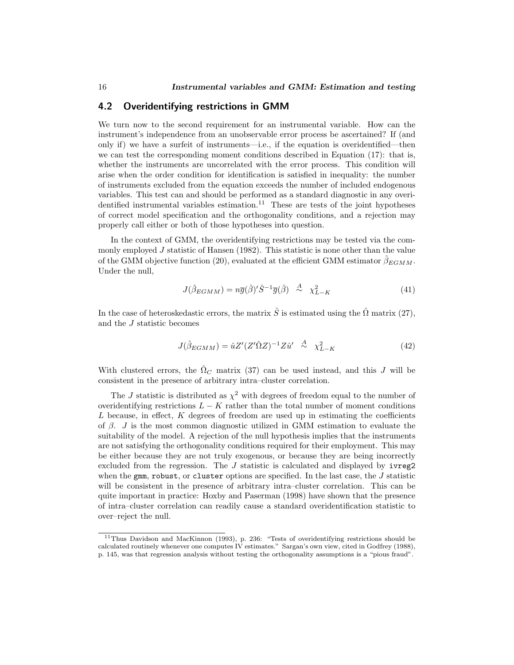#### 4.2 Overidentifying restrictions in GMM

We turn now to the second requirement for an instrumental variable. How can the instrument's independence from an unobservable error process be ascertained? If (and only if) we have a surfeit of instruments—i.e., if the equation is overidentified—then we can test the corresponding moment conditions described in Equation (17): that is, whether the instruments are uncorrelated with the error process. This condition will arise when the order condition for identification is satisfied in inequality: the number of instruments excluded from the equation exceeds the number of included endogenous variables. This test can and should be performed as a standard diagnostic in any overidentified instrumental variables estimation.<sup>11</sup> These are tests of the joint hypotheses of correct model specification and the orthogonality conditions, and a rejection may properly call either or both of those hypotheses into question.

In the context of GMM, the overidentifying restrictions may be tested via the commonly employed J statistic of Hansen (1982). This statistic is none other than the value of the GMM objective function (20), evaluated at the efficient GMM estimator  $\hat{\beta}_{EGMM}$ . Under the null,

$$
J(\hat{\beta}_{EGMM}) = n\overline{g}(\hat{\beta})'\hat{S}^{-1}\overline{g}(\hat{\beta}) \stackrel{A}{\sim} \chi^2_{L-K}
$$
(41)

In the case of heteroskedastic errors, the matrix  $\hat{S}$  is estimated using the  $\hat{\Omega}$  matrix (27), and the J statistic becomes

$$
J(\hat{\beta}_{EGMM}) = \hat{u}Z'(Z'\hat{\Omega}Z)^{-1}Z\hat{u}' \stackrel{A}{\sim} \chi^2_{L-K}
$$
 (42)

With clustered errors, the  $\hat{\Omega}_C$  matrix (37) can be used instead, and this J will be consistent in the presence of arbitrary intra–cluster correlation.

The J statistic is distributed as  $\chi^2$  with degrees of freedom equal to the number of overidentifying restrictions  $L - K$  rather than the total number of moment conditions  $L$  because, in effect,  $K$  degrees of freedom are used up in estimating the coefficients of  $\beta$ . J is the most common diagnostic utilized in GMM estimation to evaluate the suitability of the model. A rejection of the null hypothesis implies that the instruments are not satisfying the orthogonality conditions required for their employment. This may be either because they are not truly exogenous, or because they are being incorrectly excluded from the regression. The  $J$  statistic is calculated and displayed by  $i$ vreg2 when the gmm, robust, or cluster options are specified. In the last case, the  $J$  statistic will be consistent in the presence of arbitrary intra–cluster correlation. This can be quite important in practice: Hoxby and Paserman (1998) have shown that the presence of intra–cluster correlation can readily cause a standard overidentification statistic to over–reject the null.

<sup>&</sup>lt;sup>11</sup>Thus Davidson and MacKinnon (1993), p. 236: "Tests of overidentifying restrictions should be calculated routinely whenever one computes IV estimates." Sargan's own view, cited in Godfrey (1988), p. 145, was that regression analysis without testing the orthogonality assumptions is a "pious fraud".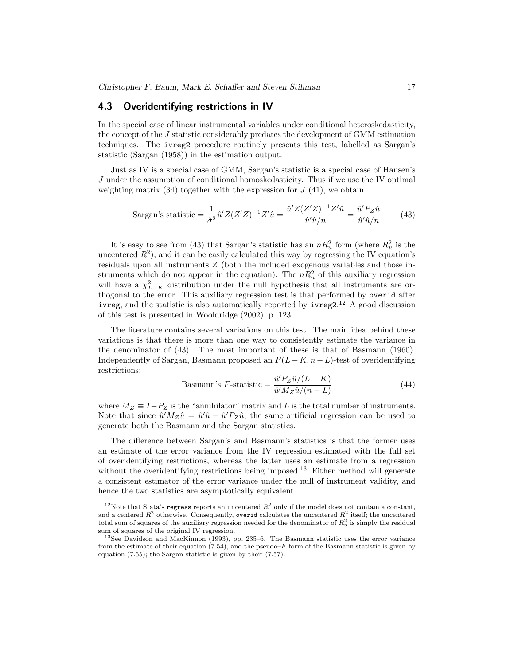#### 4.3 Overidentifying restrictions in IV

In the special case of linear instrumental variables under conditional heteroskedasticity, the concept of the J statistic considerably predates the development of GMM estimation techniques. The ivreg2 procedure routinely presents this test, labelled as Sargan's statistic (Sargan (1958)) in the estimation output.

Just as IV is a special case of GMM, Sargan's statistic is a special case of Hansen's  $J$  under the assumption of conditional homoskedasticity. Thus if we use the IV optimal weighting matrix  $(34)$  together with the expression for  $J(41)$ , we obtain

Sargan's statistic = 
$$
\frac{1}{\hat{\sigma}^2} \hat{u}' Z(Z'Z)^{-1} Z' \hat{u} = \frac{\hat{u}' Z(Z'Z)^{-1} Z' \hat{u}}{\hat{u}' \hat{u}/n} = \frac{\hat{u}' P_Z \hat{u}}{\hat{u}' \hat{u}/n}
$$
(43)

It is easy to see from (43) that Sargan's statistic has an  $nR_u^2$  form (where  $R_u^2$  is the uncentered  $R^2$ ), and it can be easily calculated this way by regressing the IV equation's residuals upon all instruments Z (both the included exogenous variables and those instruments which do not appear in the equation). The  $nR_u^2$  of this auxiliary regression will have a  $\chi^2_{L-K}$  distribution under the null hypothesis that all instruments are orthogonal to the error. This auxiliary regression test is that performed by overid after ivreg, and the statistic is also automatically reported by ivreg2. <sup>12</sup> A good discussion of this test is presented in Wooldridge (2002), p. 123.

The literature contains several variations on this test. The main idea behind these variations is that there is more than one way to consistently estimate the variance in the denominator of (43). The most important of these is that of Basmann (1960). Independently of Sargan, Basmann proposed an  $F(L - K, n - L)$ -test of overidentifying restrictions:

$$
\text{Basmann's } F\text{-statistic} = \frac{\hat{u}' P_Z \hat{u} / (L - K)}{\hat{u}' M_Z \hat{u} / (n - L)} \tag{44}
$$

where  $M_Z \equiv I-P_Z$  is the "annihilator" matrix and L is the total number of instruments. Note that since  $\hat{u}^{\dagger}M_Z\hat{u} = \hat{u}^{\dagger}\hat{u} - \hat{u}^{\dagger}P_Z\hat{u}$ , the same artificial regression can be used to generate both the Basmann and the Sargan statistics.

The difference between Sargan's and Basmann's statistics is that the former uses an estimate of the error variance from the IV regression estimated with the full set of overidentifying restrictions, whereas the latter uses an estimate from a regression without the overidentifying restrictions being imposed.<sup>13</sup> Either method will generate a consistent estimator of the error variance under the null of instrument validity, and hence the two statistics are asymptotically equivalent.

<sup>&</sup>lt;sup>12</sup>Note that Stata's regress reports an uncentered  $R^2$  only if the model does not contain a constant, and a centered  $R^2$  otherwise. Consequently, overid calculates the uncentered  $R^2$  itself; the uncentered total sum of squares of the auxiliary regression needed for the denominator of  $R_u^2$  is simply the residual sum of squares of the original IV regression.

<sup>&</sup>lt;sup>13</sup>See Davidson and MacKinnon (1993), pp. 235–6. The Basmann statistic uses the error variance from the estimate of their equation  $(7.54)$ , and the pseudo–F form of the Basmann statistic is given by equation (7.55); the Sargan statistic is given by their (7.57).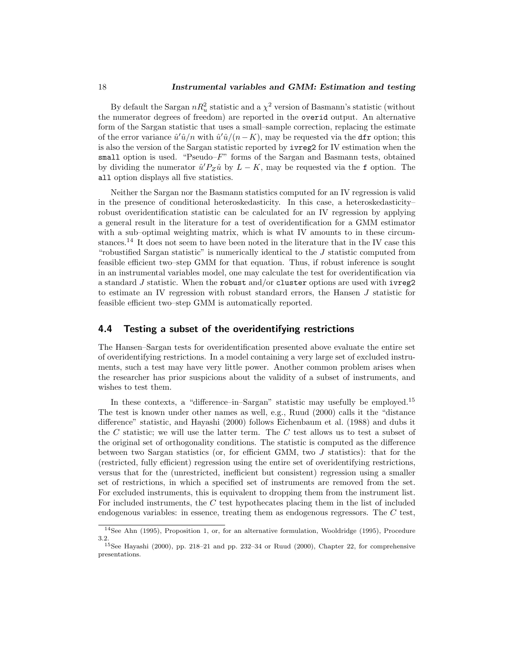#### 18 Instrumental variables and GMM: Estimation and testing

By default the Sargan  $nR_u^2$  statistic and a  $\chi^2$  version of Basmann's statistic (without the numerator degrees of freedom) are reported in the overid output. An alternative form of the Sargan statistic that uses a small–sample correction, replacing the estimate of the error variance  $\hat{u}'\hat{u}/n$  with  $\hat{u}'\hat{u}/(n-K)$ , may be requested via the dfr option; this is also the version of the Sargan statistic reported by ivreg2 for IV estimation when the small option is used. "Pseudo– $F$ " forms of the Sargan and Basmann tests, obtained by dividing the numerator  $\hat{u}' P_Z \hat{u}$  by  $L - K$ , may be requested via the f option. The all option displays all five statistics.

Neither the Sargan nor the Basmann statistics computed for an IV regression is valid in the presence of conditional heteroskedasticity. In this case, a heteroskedasticity– robust overidentification statistic can be calculated for an IV regression by applying a general result in the literature for a test of overidentification for a GMM estimator with a sub–optimal weighting matrix, which is what IV amounts to in these circumstances.<sup>14</sup> It does not seem to have been noted in the literature that in the IV case this "robustified Sargan statistic" is numerically identical to the J statistic computed from feasible efficient two–step GMM for that equation. Thus, if robust inference is sought in an instrumental variables model, one may calculate the test for overidentification via a standard J statistic. When the robust and/or cluster options are used with ivreg2 to estimate an IV regression with robust standard errors, the Hansen J statistic for feasible efficient two–step GMM is automatically reported.

#### 4.4 Testing a subset of the overidentifying restrictions

The Hansen–Sargan tests for overidentification presented above evaluate the entire set of overidentifying restrictions. In a model containing a very large set of excluded instruments, such a test may have very little power. Another common problem arises when the researcher has prior suspicions about the validity of a subset of instruments, and wishes to test them.

In these contexts, a "difference–in–Sargan" statistic may usefully be employed.<sup>15</sup> The test is known under other names as well, e.g., Ruud (2000) calls it the "distance difference" statistic, and Hayashi (2000) follows Eichenbaum et al. (1988) and dubs it the C statistic; we will use the latter term. The C test allows us to test a subset of the original set of orthogonality conditions. The statistic is computed as the difference between two Sargan statistics (or, for efficient GMM, two J statistics): that for the (restricted, fully efficient) regression using the entire set of overidentifying restrictions, versus that for the (unrestricted, inefficient but consistent) regression using a smaller set of restrictions, in which a specified set of instruments are removed from the set. For excluded instruments, this is equivalent to dropping them from the instrument list. For included instruments, the C test hypothecates placing them in the list of included endogenous variables: in essence, treating them as endogenous regressors. The C test,

<sup>14</sup>See Ahn (1995), Proposition 1, or, for an alternative formulation, Wooldridge (1995), Procedure 3.2.

<sup>15</sup>See Hayashi (2000), pp. 218–21 and pp. 232–34 or Ruud (2000), Chapter 22, for comprehensive presentations.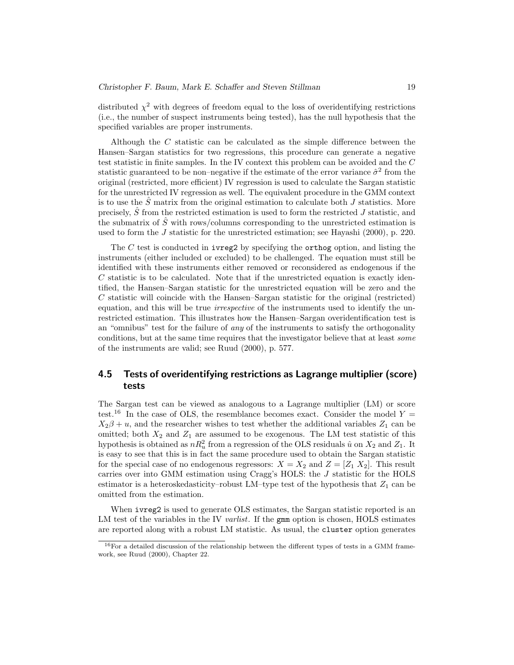distributed  $\chi^2$  with degrees of freedom equal to the loss of overidentifying restrictions (i.e., the number of suspect instruments being tested), has the null hypothesis that the specified variables are proper instruments.

Although the C statistic can be calculated as the simple difference between the Hansen–Sargan statistics for two regressions, this procedure can generate a negative test statistic in finite samples. In the IV context this problem can be avoided and the C statistic guaranteed to be non-negative if the estimate of the error variance  $\hat{\sigma}^2$  from the original (restricted, more efficient) IV regression is used to calculate the Sargan statistic for the unrestricted IV regression as well. The equivalent procedure in the GMM context is to use the  $\hat{S}$  matrix from the original estimation to calculate both  $J$  statistics. More precisely,  $\hat{S}$  from the restricted estimation is used to form the restricted J statistic, and the submatrix of  $\hat{S}$  with rows/columns corresponding to the unrestricted estimation is used to form the J statistic for the unrestricted estimation; see Hayashi (2000), p. 220.

The C test is conducted in ivreg2 by specifying the orthog option, and listing the instruments (either included or excluded) to be challenged. The equation must still be identified with these instruments either removed or reconsidered as endogenous if the  $C$  statistic is to be calculated. Note that if the unrestricted equation is exactly identified, the Hansen–Sargan statistic for the unrestricted equation will be zero and the  $C$  statistic will coincide with the Hansen–Sargan statistic for the original (restricted) equation, and this will be true *irrespective* of the instruments used to identify the unrestricted estimation. This illustrates how the Hansen–Sargan overidentification test is an "omnibus" test for the failure of *any* of the instruments to satisfy the orthogonality conditions, but at the same time requires that the investigator believe that at least some of the instruments are valid; see Ruud (2000), p. 577.

### 4.5 Tests of overidentifying restrictions as Lagrange multiplier (score) tests

The Sargan test can be viewed as analogous to a Lagrange multiplier (LM) or score test.<sup>16</sup> In the case of OLS, the resemblance becomes exact. Consider the model  $Y =$  $X_2\beta + u$ , and the researcher wishes to test whether the additional variables  $Z_1$  can be omitted; both  $X_2$  and  $Z_1$  are assumed to be exogenous. The LM test statistic of this hypothesis is obtained as  $nR_u^2$  from a regression of the OLS residuals  $\hat{u}$  on  $X_2$  and  $Z_1$ . It is easy to see that this is in fact the same procedure used to obtain the Sargan statistic for the special case of no endogenous regressors:  $X = X_2$  and  $Z = [Z_1 \ X_2]$ . This result carries over into GMM estimation using Cragg's HOLS: the J statistic for the HOLS estimator is a heteroskedasticity–robust LM–type test of the hypothesis that  $Z_1$  can be omitted from the estimation.

When **ivreg2** is used to generate OLS estimates, the Sargan statistic reported is an LM test of the variables in the IV *varlist*. If the gmm option is chosen, HOLS estimates are reported along with a robust LM statistic. As usual, the cluster option generates

 $16$  For a detailed discussion of the relationship between the different types of tests in a GMM framework, see Ruud (2000), Chapter 22.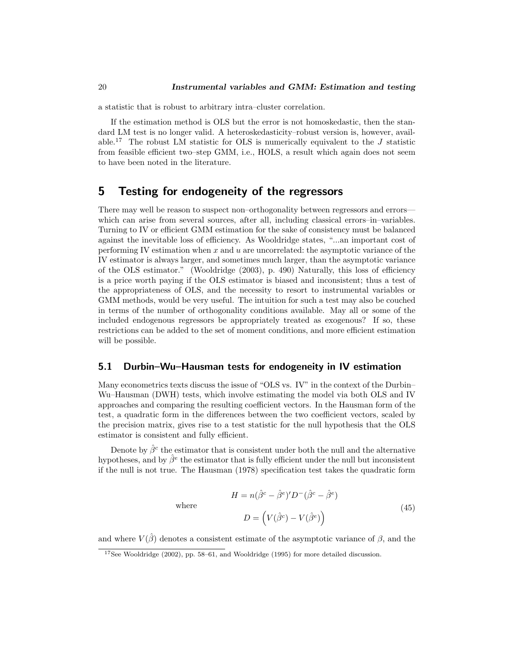#### 20 Instrumental variables and GMM: Estimation and testing

a statistic that is robust to arbitrary intra–cluster correlation.

If the estimation method is OLS but the error is not homoskedastic, then the standard LM test is no longer valid. A heteroskedasticity–robust version is, however, available.<sup>17</sup> The robust LM statistic for OLS is numerically equivalent to the  $J$  statistic from feasible efficient two–step GMM, i.e., HOLS, a result which again does not seem to have been noted in the literature.

# 5 Testing for endogeneity of the regressors

There may well be reason to suspect non–orthogonality between regressors and errors which can arise from several sources, after all, including classical errors–in–variables. Turning to IV or efficient GMM estimation for the sake of consistency must be balanced against the inevitable loss of efficiency. As Wooldridge states, "...an important cost of performing IV estimation when  $x$  and  $u$  are uncorrelated: the asymptotic variance of the IV estimator is always larger, and sometimes much larger, than the asymptotic variance of the OLS estimator." (Wooldridge (2003), p. 490) Naturally, this loss of efficiency is a price worth paying if the OLS estimator is biased and inconsistent; thus a test of the appropriateness of OLS, and the necessity to resort to instrumental variables or GMM methods, would be very useful. The intuition for such a test may also be couched in terms of the number of orthogonality conditions available. May all or some of the included endogenous regressors be appropriately treated as exogenous? If so, these restrictions can be added to the set of moment conditions, and more efficient estimation will be possible.

### 5.1 Durbin–Wu–Hausman tests for endogeneity in IV estimation

Many econometrics texts discuss the issue of "OLS vs. IV" in the context of the Durbin– Wu–Hausman (DWH) tests, which involve estimating the model via both OLS and IV approaches and comparing the resulting coefficient vectors. In the Hausman form of the test, a quadratic form in the differences between the two coefficient vectors, scaled by the precision matrix, gives rise to a test statistic for the null hypothesis that the OLS estimator is consistent and fully efficient.

Denote by  $\hat{\beta}^c$  the estimator that is consistent under both the null and the alternative hypotheses, and by  $\hat{\beta}^e$  the estimator that is fully efficient under the null but inconsistent if the null is not true. The Hausman (1978) specification test takes the quadratic form

where  
\n
$$
H = n(\hat{\beta}^c - \hat{\beta}^e)'D^-(\hat{\beta}^c - \hat{\beta}^e)
$$
\n
$$
D = (V(\hat{\beta}^c) - V(\hat{\beta}^e))
$$
\n(45)

and where  $V(\hat{\beta})$  denotes a consistent estimate of the asymptotic variance of  $\beta$ , and the

<sup>17</sup>See Wooldridge (2002), pp. 58–61, and Wooldridge (1995) for more detailed discussion.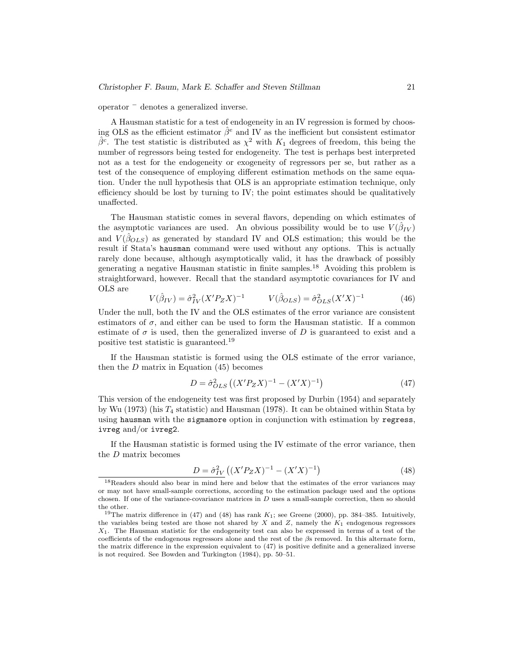operator <sup>−</sup> denotes a generalized inverse.

A Hausman statistic for a test of endogeneity in an IV regression is formed by choosing OLS as the efficient estimator  $\hat{\beta}^e$  and IV as the inefficient but consistent estimator  $\hat{\beta}^c$ . The test statistic is distributed as  $\chi^2$  with  $K_1$  degrees of freedom, this being the number of regressors being tested for endogeneity. The test is perhaps best interpreted not as a test for the endogeneity or exogeneity of regressors per se, but rather as a test of the consequence of employing different estimation methods on the same equation. Under the null hypothesis that OLS is an appropriate estimation technique, only efficiency should be lost by turning to IV; the point estimates should be qualitatively unaffected.

The Hausman statistic comes in several flavors, depending on which estimates of the asymptotic variances are used. An obvious possibility would be to use  $V(\hat{\beta}_{IV})$ and  $V(\hat{\beta}_{OLS})$  as generated by standard IV and OLS estimation; this would be the result if Stata's hausman command were used without any options. This is actually rarely done because, although asymptotically valid, it has the drawback of possibly generating a negative Hausman statistic in finite samples.<sup>18</sup> Avoiding this problem is straightforward, however. Recall that the standard asymptotic covariances for IV and OLS are

$$
V(\hat{\beta}_{IV}) = \hat{\sigma}_{IV}^2 (X' P_Z X)^{-1} \qquad V(\hat{\beta}_{OLS}) = \hat{\sigma}_{OLS}^2 (X' X)^{-1} \qquad (46)
$$

Under the null, both the IV and the OLS estimates of the error variance are consistent estimators of  $\sigma$ , and either can be used to form the Hausman statistic. If a common estimate of  $\sigma$  is used, then the generalized inverse of D is guaranteed to exist and a positive test statistic is guaranteed.<sup>19</sup>

If the Hausman statistic is formed using the OLS estimate of the error variance, then the  $D$  matrix in Equation  $(45)$  becomes

$$
D = \hat{\sigma}_{OLS}^{2} ((X'P_{Z}X)^{-1} - (X'X)^{-1})
$$
\n(47)

This version of the endogeneity test was first proposed by Durbin (1954) and separately by Wu (1973) (his  $T_4$  statistic) and Hausman (1978). It can be obtained within Stata by using hausman with the sigmamore option in conjunction with estimation by regress, ivreg and/or ivreg2.

If the Hausman statistic is formed using the IV estimate of the error variance, then the D matrix becomes

$$
D = \hat{\sigma}_{IV}^{2} ((X'P_{Z}X)^{-1} - (X'X)^{-1})
$$
\n(48)

<sup>&</sup>lt;sup>18</sup>Readers should also bear in mind here and below that the estimates of the error variances may or may not have small-sample corrections, according to the estimation package used and the options chosen. If one of the variance-covariance matrices in  $D$  uses a small-sample correction, then so should the other.

<sup>&</sup>lt;sup>19</sup>The matrix difference in (47) and (48) has rank  $K_1$ ; see Greene (2000), pp. 384–385. Intuitively, the variables being tested are those not shared by  $X$  and  $Z$ , namely the  $K_1$  endogenous regressors  $X_1$ . The Hausman statistic for the endogeneity test can also be expressed in terms of a test of the coefficients of the endogenous regressors alone and the rest of the βs removed. In this alternate form, the matrix difference in the expression equivalent to (47) is positive definite and a generalized inverse is not required. See Bowden and Turkington (1984), pp. 50–51.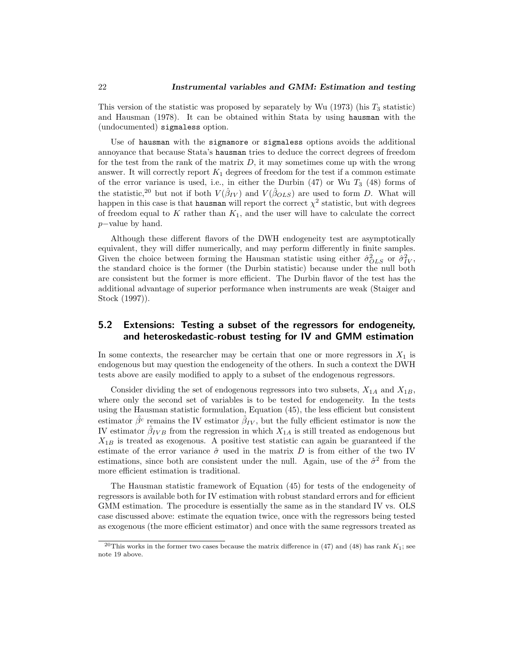This version of the statistic was proposed by separately by Wu  $(1973)$  (his  $T_3$  statistic) and Hausman (1978). It can be obtained within Stata by using hausman with the (undocumented) sigmaless option.

Use of hausman with the sigmamore or sigmaless options avoids the additional annoyance that because Stata's hausman tries to deduce the correct degrees of freedom for the test from the rank of the matrix  $D$ , it may sometimes come up with the wrong answer. It will correctly report  $K_1$  degrees of freedom for the test if a common estimate of the error variance is used, i.e., in either the Durbin  $(47)$  or Wu  $T_3$   $(48)$  forms of the statistic,<sup>20</sup> but not if both  $V(\hat{\beta}_{IV})$  and  $V(\hat{\beta}_{OLS})$  are used to form D. What will happen in this case is that hausman will report the correct  $\chi^2$  statistic, but with degrees of freedom equal to  $K$  rather than  $K_1$ , and the user will have to calculate the correct p−value by hand.

Although these different flavors of the DWH endogeneity test are asymptotically equivalent, they will differ numerically, and may perform differently in finite samples. Given the choice between forming the Hausman statistic using either  $\hat{\sigma}_{OLS}^2$  or  $\hat{\sigma}_{IV}^2$ , the standard choice is the former (the Durbin statistic) because under the null both are consistent but the former is more efficient. The Durbin flavor of the test has the additional advantage of superior performance when instruments are weak (Staiger and Stock (1997)).

## 5.2 Extensions: Testing a subset of the regressors for endogeneity, and heteroskedastic-robust testing for IV and GMM estimation

In some contexts, the researcher may be certain that one or more regressors in  $X_1$  is endogenous but may question the endogeneity of the others. In such a context the DWH tests above are easily modified to apply to a subset of the endogenous regressors.

Consider dividing the set of endogenous regressors into two subsets,  $X_{1A}$  and  $X_{1B}$ , where only the second set of variables is to be tested for endogeneity. In the tests using the Hausman statistic formulation, Equation (45), the less efficient but consistent estimator  $\hat{\beta}^c$  remains the IV estimator  $\hat{\beta}_{IV}$ , but the fully efficient estimator is now the IV estimator  $\hat{\beta}_{IVB}$  from the regression in which  $X_{1A}$  is still treated as endogenous but  $X_{1B}$  is treated as exogenous. A positive test statistic can again be guaranteed if the estimate of the error variance  $\hat{\sigma}$  used in the matrix D is from either of the two IV estimations, since both are consistent under the null. Again, use of the  $\hat{\sigma}^2$  from the more efficient estimation is traditional.

The Hausman statistic framework of Equation (45) for tests of the endogeneity of regressors is available both for IV estimation with robust standard errors and for efficient GMM estimation. The procedure is essentially the same as in the standard IV vs. OLS case discussed above: estimate the equation twice, once with the regressors being tested as exogenous (the more efficient estimator) and once with the same regressors treated as

<sup>&</sup>lt;sup>20</sup>This works in the former two cases because the matrix difference in (47) and (48) has rank  $K_1$ ; see note 19 above.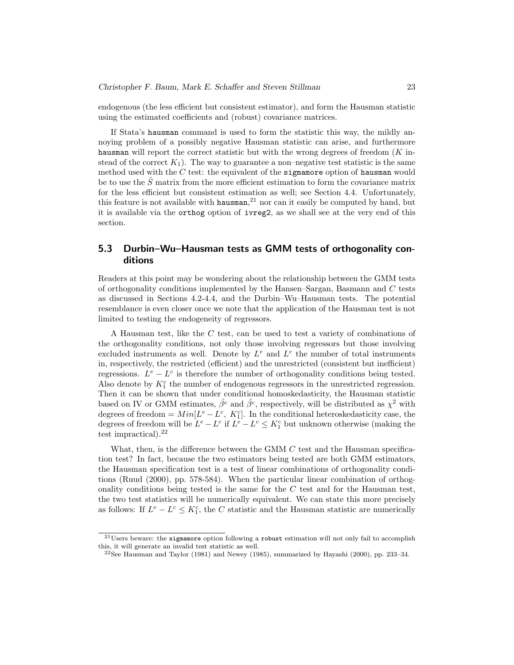endogenous (the less efficient but consistent estimator), and form the Hausman statistic using the estimated coefficients and (robust) covariance matrices.

If Stata's hausman command is used to form the statistic this way, the mildly annoying problem of a possibly negative Hausman statistic can arise, and furthermore hausman will report the correct statistic but with the wrong degrees of freedom (K instead of the correct  $K_1$ ). The way to guarantee a non-negative test statistic is the same method used with the  $C$  test: the equivalent of the sigmamore option of hausman would be to use the  $\tilde{S}$  matrix from the more efficient estimation to form the covariance matrix for the less efficient but consistent estimation as well; see Section 4.4. Unfortunately, this feature is not available with hausman, <sup>21</sup> nor can it easily be computed by hand, but it is available via the orthog option of ivreg2, as we shall see at the very end of this section.

## 5.3 Durbin–Wu–Hausman tests as GMM tests of orthogonality conditions

Readers at this point may be wondering about the relationship between the GMM tests of orthogonality conditions implemented by the Hansen–Sargan, Basmann and C tests as discussed in Sections 4.2-4.4, and the Durbin–Wu–Hausman tests. The potential resemblance is even closer once we note that the application of the Hausman test is not limited to testing the endogeneity of regressors.

A Hausman test, like the C test, can be used to test a variety of combinations of the orthogonality conditions, not only those involving regressors but those involving excluded instruments as well. Denote by  $L^e$  and  $L^c$  the number of total instruments in, respectively, the restricted (efficient) and the unrestricted (consistent but inefficient) regressions.  $L^e - L^c$  is therefore the number of orthogonality conditions being tested. Also denote by  $K_1^c$  the number of endogenous regressors in the unrestricted regression. Then it can be shown that under conditional homoskedasticity, the Hausman statistic based on IV or GMM estimates,  $\hat{\beta}^e$  and  $\hat{\beta}^c$ , respectively, will be distributed as  $\chi^2$  with degrees of freedom =  $Min[L^{e}-L^{c}, K_{1}^{c}]$ . In the conditional heteroskedasticity case, the degrees of freedom will be  $L^e - L^c$  if  $L^e - L^c \leq K_1^c$  but unknown otherwise (making the test impractical).<sup>22</sup>

What, then, is the difference between the GMM C test and the Hausman specification test? In fact, because the two estimators being tested are both GMM estimators, the Hausman specification test is a test of linear combinations of orthogonality conditions (Ruud (2000), pp. 578-584). When the particular linear combination of orthogonality conditions being tested is the same for the  $C$  test and for the Hausman test, the two test statistics will be numerically equivalent. We can state this more precisely as follows: If  $L^e - L^c \leq K_1^c$ , the C statistic and the Hausman statistic are numerically

 $21$ Users beware: the sigmamore option following a robust estimation will not only fail to accomplish this, it will generate an invalid test statistic as well.

 $22$ See Hausman and Taylor (1981) and Newey (1985), summarized by Hayashi (2000), pp. 233–34.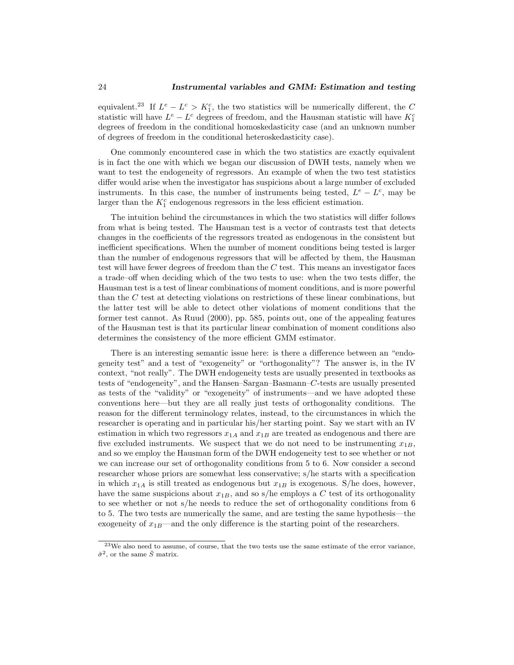equivalent.<sup>23</sup> If  $L^e - L^c > K_1^c$ , the two statistics will be numerically different, the C statistic will have  $L^e - L^c$  degrees of freedom, and the Hausman statistic will have  $K_1^c$ degrees of freedom in the conditional homoskedasticity case (and an unknown number of degrees of freedom in the conditional heteroskedasticity case).

One commonly encountered case in which the two statistics are exactly equivalent is in fact the one with which we began our discussion of DWH tests, namely when we want to test the endogeneity of regressors. An example of when the two test statistics differ would arise when the investigator has suspicions about a large number of excluded instruments. In this case, the number of instruments being tested,  $L^e - L^c$ , may be larger than the  $K_1^c$  endogenous regressors in the less efficient estimation.

The intuition behind the circumstances in which the two statistics will differ follows from what is being tested. The Hausman test is a vector of contrasts test that detects changes in the coefficients of the regressors treated as endogenous in the consistent but inefficient specifications. When the number of moment conditions being tested is larger than the number of endogenous regressors that will be affected by them, the Hausman test will have fewer degrees of freedom than the C test. This means an investigator faces a trade–off when deciding which of the two tests to use: when the two tests differ, the Hausman test is a test of linear combinations of moment conditions, and is more powerful than the C test at detecting violations on restrictions of these linear combinations, but the latter test will be able to detect other violations of moment conditions that the former test cannot. As Ruud (2000), pp. 585, points out, one of the appealing features of the Hausman test is that its particular linear combination of moment conditions also determines the consistency of the more efficient GMM estimator.

There is an interesting semantic issue here: is there a difference between an "endogeneity test" and a test of "exogeneity" or "orthogonality"? The answer is, in the IV context, "not really". The DWH endogeneity tests are usually presented in textbooks as tests of "endogeneity", and the Hansen–Sargan–Basmann–C-tests are usually presented as tests of the "validity" or "exogeneity" of instruments—and we have adopted these conventions here—but they are all really just tests of orthogonality conditions. The reason for the different terminology relates, instead, to the circumstances in which the researcher is operating and in particular his/her starting point. Say we start with an IV estimation in which two regressors  $x_{1A}$  and  $x_{1B}$  are treated as endogenous and there are five excluded instruments. We suspect that we do not need to be instrumenting  $x_{1B}$ , and so we employ the Hausman form of the DWH endogeneity test to see whether or not we can increase our set of orthogonality conditions from 5 to 6. Now consider a second researcher whose priors are somewhat less conservative; s/he starts with a specification in which  $x_{1A}$  is still treated as endogenous but  $x_{1B}$  is exogenous. S/he does, however, have the same suspicions about  $x_{1B}$ , and so s/he employs a C test of its orthogonality to see whether or not s/he needs to reduce the set of orthogonality conditions from 6 to 5. The two tests are numerically the same, and are testing the same hypothesis—the exogeneity of  $x_{1B}$ —and the only difference is the starting point of the researchers.

<sup>23</sup>We also need to assume, of course, that the two tests use the same estimate of the error variance,  $\hat{\sigma}^2$ , or the same  $\hat{S}$  matrix.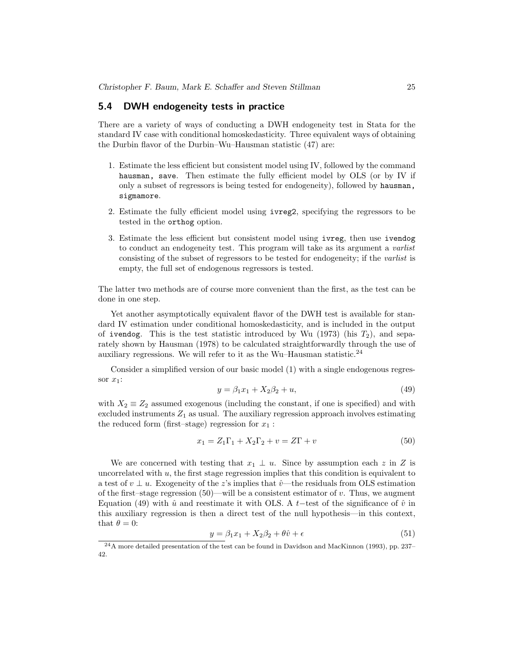#### 5.4 DWH endogeneity tests in practice

There are a variety of ways of conducting a DWH endogeneity test in Stata for the standard IV case with conditional homoskedasticity. Three equivalent ways of obtaining the Durbin flavor of the Durbin–Wu–Hausman statistic (47) are:

- 1. Estimate the less efficient but consistent model using IV, followed by the command hausman, save. Then estimate the fully efficient model by OLS (or by IV if only a subset of regressors is being tested for endogeneity), followed by hausman, sigmamore.
- 2. Estimate the fully efficient model using ivreg2, specifying the regressors to be tested in the orthog option.
- 3. Estimate the less efficient but consistent model using ivreg, then use ivendog to conduct an endogeneity test. This program will take as its argument a varlist consisting of the subset of regressors to be tested for endogeneity; if the varlist is empty, the full set of endogenous regressors is tested.

The latter two methods are of course more convenient than the first, as the test can be done in one step.

Yet another asymptotically equivalent flavor of the DWH test is available for standard IV estimation under conditional homoskedasticity, and is included in the output of ivendog. This is the test statistic introduced by Wu (1973) (his  $T_2$ ), and separately shown by Hausman (1978) to be calculated straightforwardly through the use of auxiliary regressions. We will refer to it as the Wu–Hausman statistic.<sup>24</sup>

Consider a simplified version of our basic model (1) with a single endogenous regressor  $x_1$ :

$$
y = \beta_1 x_1 + X_2 \beta_2 + u,\tag{49}
$$

with  $X_2 \equiv Z_2$  assumed exogenous (including the constant, if one is specified) and with excluded instruments  $Z_1$  as usual. The auxiliary regression approach involves estimating the reduced form (first–stage) regression for  $x_1$ :

$$
x_1 = Z_1 \Gamma_1 + X_2 \Gamma_2 + v = Z\Gamma + v \tag{50}
$$

We are concerned with testing that  $x_1 \perp u$ . Since by assumption each z in Z is uncorrelated with  $u$ , the first stage regression implies that this condition is equivalent to a test of  $v \perp u$ . Exogeneity of the z's implies that  $\hat{v}$ —the residuals from OLS estimation of the first–stage regression  $(50)$ —will be a consistent estimator of v. Thus, we augment Equation (49) with  $\hat{u}$  and reestimate it with OLS. A t–test of the significance of  $\hat{v}$  in this auxiliary regression is then a direct test of the null hypothesis—in this context, that  $\theta = 0$ :

$$
y = \beta_1 x_1 + X_2 \beta_2 + \theta \hat{v} + \epsilon \tag{51}
$$

<sup>24</sup>A more detailed presentation of the test can be found in Davidson and MacKinnon (1993), pp. 237– 42.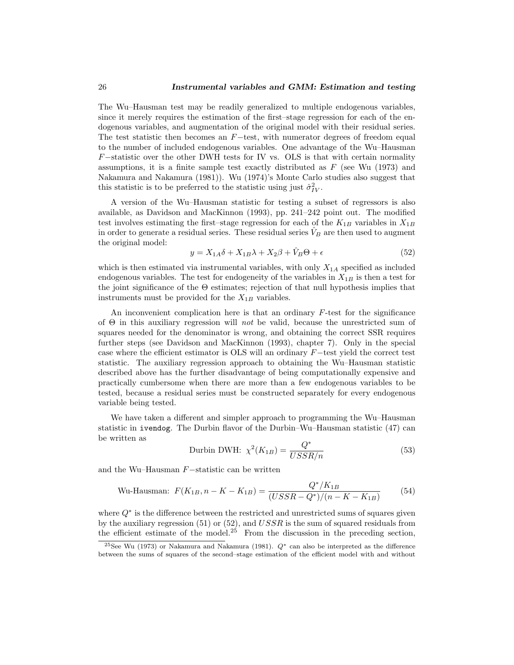#### 26 Instrumental variables and GMM: Estimation and testing

The Wu–Hausman test may be readily generalized to multiple endogenous variables, since it merely requires the estimation of the first–stage regression for each of the endogenous variables, and augmentation of the original model with their residual series. The test statistic then becomes an  $F$ -test, with numerator degrees of freedom equal to the number of included endogenous variables. One advantage of the Wu–Hausman  $F$ -statistic over the other DWH tests for IV vs. OLS is that with certain normality assumptions, it is a finite sample test exactly distributed as  $F$  (see Wu (1973) and Nakamura and Nakamura (1981)). Wu (1974)'s Monte Carlo studies also suggest that this statistic is to be preferred to the statistic using just  $\hat{\sigma}_{IV}^2$ .

A version of the Wu–Hausman statistic for testing a subset of regressors is also available, as Davidson and MacKinnon (1993), pp. 241–242 point out. The modified test involves estimating the first–stage regression for each of the  $K_{1B}$  variables in  $X_{1B}$ in order to generate a residual series. These residual series  $V_B$  are then used to augment the original model:

$$
y = X_{1A}\delta + X_{1B}\lambda + X_{2}\beta + \hat{V}_{B}\Theta + \epsilon
$$
\n(52)

which is then estimated via instrumental variables, with only  $X_{1A}$  specified as included endogenous variables. The test for endogeneity of the variables in  $X_{1B}$  is then a test for the joint significance of the  $\Theta$  estimates; rejection of that null hypothesis implies that instruments must be provided for the  $X_{1B}$  variables.

An inconvenient complication here is that an ordinary F-test for the significance of Θ in this auxiliary regression will not be valid, because the unrestricted sum of squares needed for the denominator is wrong, and obtaining the correct SSR requires further steps (see Davidson and MacKinnon (1993), chapter 7). Only in the special case where the efficient estimator is OLS will an ordinary F−test yield the correct test statistic. The auxiliary regression approach to obtaining the Wu–Hausman statistic described above has the further disadvantage of being computationally expensive and practically cumbersome when there are more than a few endogenous variables to be tested, because a residual series must be constructed separately for every endogenous variable being tested.

We have taken a different and simpler approach to programming the Wu–Hausman statistic in ivendog. The Durbin flavor of the Durbin–Wu–Hausman statistic (47) can be written as

During DWH: 
$$
\chi^2(K_{1B}) = \frac{Q^*}{USSR/n}
$$
\n(53)

and the Wu–Hausman F−statistic can be written

Wu-Hausman: 
$$
F(K_{1B}, n - K - K_{1B}) = \frac{Q^* / K_{1B}}{(USSR - Q^*)/(n - K - K_{1B})}
$$
 (54)

where  $Q^*$  is the difference between the restricted and unrestricted sums of squares given by the auxiliary regression  $(51)$  or  $(52)$ , and  $USSR$  is the sum of squared residuals from the efficient estimate of the model.<sup>25</sup> From the discussion in the preceding section,

<sup>&</sup>lt;sup>25</sup>See Wu (1973) or Nakamura and Nakamura (1981).  $Q^*$  can also be interpreted as the difference between the sums of squares of the second–stage estimation of the efficient model with and without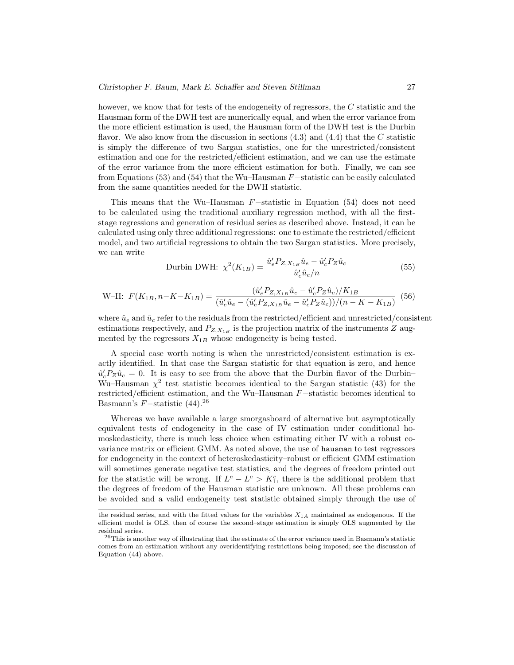however, we know that for tests of the endogeneity of regressors, the C statistic and the Hausman form of the DWH test are numerically equal, and when the error variance from the more efficient estimation is used, the Hausman form of the DWH test is the Durbin flavor. We also know from the discussion in sections  $(4.3)$  and  $(4.4)$  that the C statistic is simply the difference of two Sargan statistics, one for the unrestricted/consistent estimation and one for the restricted/efficient estimation, and we can use the estimate of the error variance from the more efficient estimation for both. Finally, we can see from Equations (53) and (54) that the Wu–Hausman  $F$ –statistic can be easily calculated from the same quantities needed for the DWH statistic.

This means that the Wu–Hausman  $F$ –statistic in Equation (54) does not need to be calculated using the traditional auxiliary regression method, with all the firststage regressions and generation of residual series as described above. Instead, it can be calculated using only three additional regressions: one to estimate the restricted/efficient model, and two artificial regressions to obtain the two Sargan statistics. More precisely, we can write

During the DWH: 
$$
\chi^2(K_{1B}) = \frac{\hat{u}_e' P_{Z, X_{1B}} \hat{u}_e - \hat{u}_c' P_Z \hat{u}_c}{\hat{u}_e' \hat{u}_e/n}
$$
\n(55)

W-H: 
$$
F(K_{1B}, n-K-K_{1B}) = \frac{(\hat{u}'_e P_{Z,X_{1B}} \hat{u}_e - \hat{u}'_e P_Z \hat{u}_e)/K_{1B}}{(\hat{u}'_e \hat{u}_e - (\hat{u}'_e P_{Z,X_{1B}} \hat{u}_e - \hat{u}'_e P_Z \hat{u}_e))/(n-K-K_{1B})}
$$
 (56)

where  $\hat{u}_e$  and  $\hat{u}_c$  refer to the residuals from the restricted/efficient and unrestricted/consistent estimations respectively, and  $P_{Z,X_{1B}}$  is the projection matrix of the instruments Z augmented by the regressors  $X_{1B}$  whose endogeneity is being tested.

A special case worth noting is when the unrestricted/consistent estimation is exactly identified. In that case the Sargan statistic for that equation is zero, and hence  $\hat{u}'_c P_Z \hat{u}_c = 0$ . It is easy to see from the above that the Durbin flavor of the Durbin– Wu–Hausman  $\chi^2$  test statistic becomes identical to the Sargan statistic (43) for the restricted/efficient estimation, and the Wu–Hausman F−statistic becomes identical to Basmann's F−statistic (44).<sup>26</sup>

Whereas we have available a large smorgasboard of alternative but asymptotically equivalent tests of endogeneity in the case of IV estimation under conditional homoskedasticity, there is much less choice when estimating either IV with a robust covariance matrix or efficient GMM. As noted above, the use of hausman to test regressors for endogeneity in the context of heteroskedasticity–robust or efficient GMM estimation will sometimes generate negative test statistics, and the degrees of freedom printed out for the statistic will be wrong. If  $L^e - L^c > K_1^c$ , there is the additional problem that the degrees of freedom of the Hausman statistic are unknown. All these problems can be avoided and a valid endogeneity test statistic obtained simply through the use of

the residual series, and with the fitted values for the variables  $X_{1A}$  maintained as endogenous. If the efficient model is OLS, then of course the second–stage estimation is simply OLS augmented by the residual series.

<sup>26</sup>This is another way of illustrating that the estimate of the error variance used in Basmann's statistic comes from an estimation without any overidentifying restrictions being imposed; see the discussion of Equation (44) above.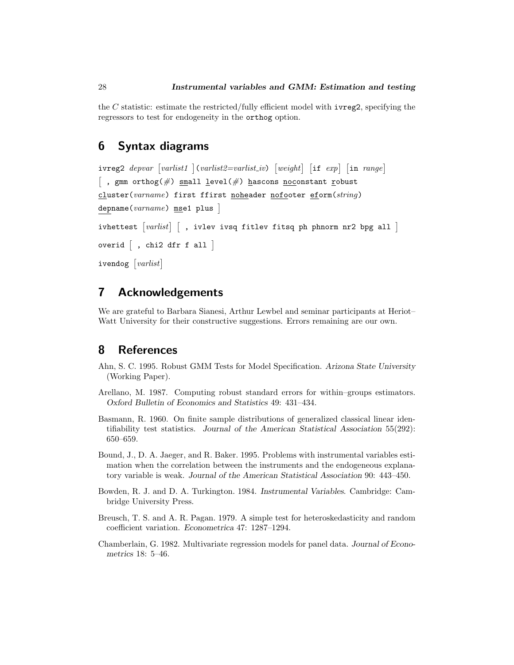the C statistic: estimate the restricted/fully efficient model with  $i$ **vreg2**, specifying the regressors to test for endogeneity in the orthog option.

# 6 Syntax diagrams

```
\texttt{ivreg2} depvar \lceil \text{varlist1} \rceil (varlist2=varlist_iv) \lceil \text{weight} \rceil \lceil \text{if } \exp \rceil \lceil \text{in } \text{range} \rceil\lceil , gmm orthog(\#) \underline{\text{small}} \underline{\text{level}}(\#) \underline{\text{h}}ascons \underline{\text{no}}constant \underline{\text{robust}}cluster(varname) first ffirst noheader nofooter eform(string)
depname(varname) mse1 plus
ivhettest \lceil \text{varlist} \rceil \rceil , ivlev ivsq fitlev fitsq ph phnorm nr2 bpg all \rceiloverid \begin{bmatrix} , & \text{chi2} & \text{dfr} & \text{f} & \text{all} \end{bmatrix}\texttt{ivendog} \lceil \textit{varlist} \rceil
```
# 7 Acknowledgements

We are grateful to Barbara Sianesi, Arthur Lewbel and seminar participants at Heriot– Watt University for their constructive suggestions. Errors remaining are our own.

# 8 References

- Ahn, S. C. 1995. Robust GMM Tests for Model Specification. Arizona State University (Working Paper).
- Arellano, M. 1987. Computing robust standard errors for within–groups estimators. Oxford Bulletin of Economics and Statistics 49: 431–434.
- Basmann, R. 1960. On finite sample distributions of generalized classical linear identifiability test statistics. Journal of the American Statistical Association 55(292): 650–659.
- Bound, J., D. A. Jaeger, and R. Baker. 1995. Problems with instrumental variables estimation when the correlation between the instruments and the endogeneous explanatory variable is weak. Journal of the American Statistical Association 90: 443–450.
- Bowden, R. J. and D. A. Turkington. 1984. Instrumental Variables. Cambridge: Cambridge University Press.
- Breusch, T. S. and A. R. Pagan. 1979. A simple test for heteroskedasticity and random coefficient variation. Econometrica 47: 1287–1294.
- Chamberlain, G. 1982. Multivariate regression models for panel data. Journal of Econometrics 18: 5–46.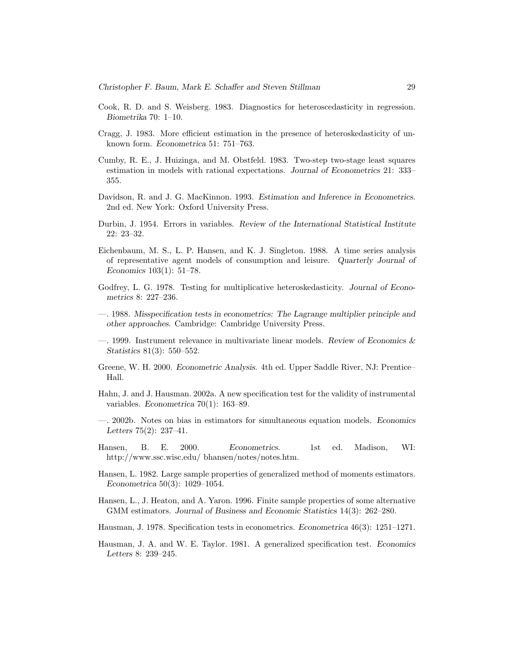- Cook, R. D. and S. Weisberg. 1983. Diagnostics for heteroscedasticity in regression. Biometrika 70: 1–10.
- Cragg, J. 1983. More efficient estimation in the presence of heteroskedasticity of unknown form. Econometrica 51: 751–763.
- Cumby, R. E., J. Huizinga, and M. Obstfeld. 1983. Two-step two-stage least squares estimation in models with rational expectations. Journal of Econometrics 21: 333– 355.
- Davidson, R. and J. G. MacKinnon. 1993. Estimation and Inference in Econometrics. 2nd ed. New York: Oxford University Press.
- Durbin, J. 1954. Errors in variables. Review of the International Statistical Institute 22: 23–32.
- Eichenbaum, M. S., L. P. Hansen, and K. J. Singleton. 1988. A time series analysis of representative agent models of consumption and leisure. Quarterly Journal of Economics 103(1): 51–78.
- Godfrey, L. G. 1978. Testing for multiplicative heteroskedasticity. Journal of Econometrics 8: 227–236.
- —. 1988. Misspecification tests in econometrics: The Lagrange multiplier principle and other approaches. Cambridge: Cambridge University Press.
- $-$ . 1999. Instrument relevance in multivariate linear models. Review of Economics  $\&$ Statistics 81(3): 550–552.
- Greene, W. H. 2000. Econometric Analysis. 4th ed. Upper Saddle River, NJ: Prentice– Hall.
- Hahn, J. and J. Hausman. 2002a. A new specification test for the validity of instrumental variables. Econometrica 70(1): 163–89.
- —. 2002b. Notes on bias in estimators for simultaneous equation models. Economics Letters 75(2): 237–41.
- Hansen, B. E. 2000. Econometrics. 1st ed. Madison, WI: http://www.ssc.wisc.edu/ bhansen/notes/notes.htm.
- Hansen, L. 1982. Large sample properties of generalized method of moments estimators. Econometrica 50(3): 1029–1054.
- Hansen, L., J. Heaton, and A. Yaron. 1996. Finite sample properties of some alternative GMM estimators. Journal of Business and Economic Statistics 14(3): 262–280.
- Hausman, J. 1978. Specification tests in econometrics. Econometrica 46(3): 1251–1271.
- Hausman, J. A. and W. E. Taylor. 1981. A generalized specification test. Economics Letters 8: 239–245.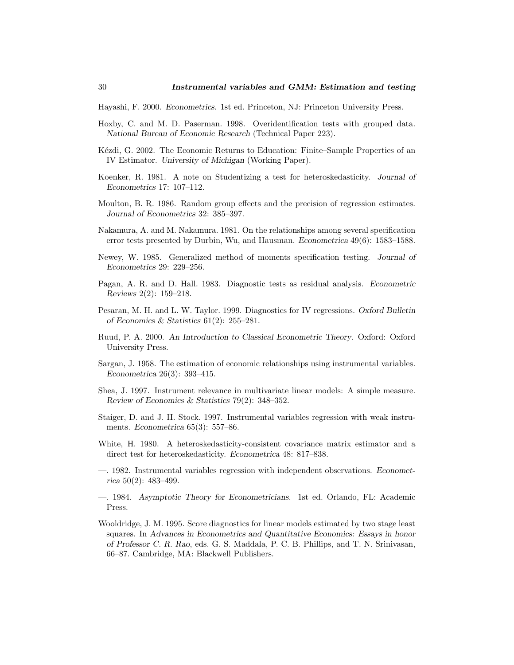Hayashi, F. 2000. Econometrics. 1st ed. Princeton, NJ: Princeton University Press.

- Hoxby, C. and M. D. Paserman. 1998. Overidentification tests with grouped data. National Bureau of Economic Research (Technical Paper 223).
- Kézdi, G. 2002. The Economic Returns to Education: Finite–Sample Properties of an IV Estimator. University of Michigan (Working Paper).
- Koenker, R. 1981. A note on Studentizing a test for heteroskedasticity. Journal of Econometrics 17: 107–112.
- Moulton, B. R. 1986. Random group effects and the precision of regression estimates. Journal of Econometrics 32: 385–397.
- Nakamura, A. and M. Nakamura. 1981. On the relationships among several specification error tests presented by Durbin, Wu, and Hausman. Econometrica 49(6): 1583–1588.
- Newey, W. 1985. Generalized method of moments specification testing. Journal of Econometrics 29: 229–256.
- Pagan, A. R. and D. Hall. 1983. Diagnostic tests as residual analysis. Econometric Reviews 2(2): 159–218.
- Pesaran, M. H. and L. W. Taylor. 1999. Diagnostics for IV regressions. Oxford Bulletin of Economics & Statistics 61(2): 255–281.
- Ruud, P. A. 2000. An Introduction to Classical Econometric Theory. Oxford: Oxford University Press.
- Sargan, J. 1958. The estimation of economic relationships using instrumental variables. Econometrica 26(3): 393–415.
- Shea, J. 1997. Instrument relevance in multivariate linear models: A simple measure. Review of Economics & Statistics 79(2): 348–352.
- Staiger, D. and J. H. Stock. 1997. Instrumental variables regression with weak instruments. Econometrica 65(3): 557–86.
- White, H. 1980. A heteroskedasticity-consistent covariance matrix estimator and a direct test for heteroskedasticity. Econometrica 48: 817–838.
- —. 1982. Instrumental variables regression with independent observations. Econometrica  $50(2)$ : 483-499.
- —. 1984. Asymptotic Theory for Econometricians. 1st ed. Orlando, FL: Academic Press.
- Wooldridge, J. M. 1995. Score diagnostics for linear models estimated by two stage least squares. In Advances in Econometrics and Quantitative Economics: Essays in honor of Professor C. R. Rao, eds. G. S. Maddala, P. C. B. Phillips, and T. N. Srinivasan, 66–87. Cambridge, MA: Blackwell Publishers.